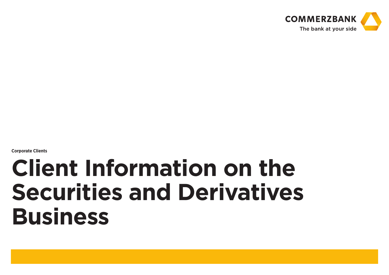

**Corporate Clients**

# **Client Information on the Securities and Derivatives Business**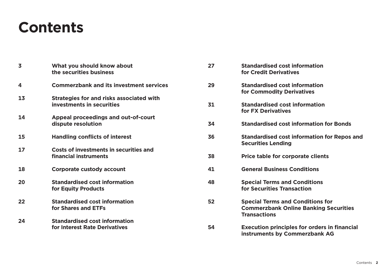# **Contents**

| $\overline{\mathbf{3}}$ | What you should know about<br>the securities business       | 27 | <b>Standardised cost information</b><br>for Credit Derivatives                                                 |
|-------------------------|-------------------------------------------------------------|----|----------------------------------------------------------------------------------------------------------------|
| 4                       | <b>Commerzbank and its investment services</b>              | 29 | <b>Standardised cost information</b><br>for Commodity Derivatives                                              |
| 13                      | <b>Strategies for and risks associated with</b>             |    |                                                                                                                |
|                         | investments in securities                                   | 31 | <b>Standardised cost information</b><br>for FX Derivatives                                                     |
| 14                      | Appeal proceedings and out-of-court                         |    |                                                                                                                |
|                         | dispute resolution                                          | 34 | <b>Standardised cost information for Bonds</b>                                                                 |
| 15                      | <b>Handling conflicts of interest</b>                       | 36 | <b>Standardised cost information for Repos and</b><br><b>Securities Lending</b>                                |
| 17                      | Costs of investments in securities and                      |    |                                                                                                                |
|                         | financial instruments                                       | 38 | Price table for corporate clients                                                                              |
| 18                      | Corporate custody account                                   | 41 | <b>General Business Conditions</b>                                                                             |
| 20                      | <b>Standardised cost information</b><br>for Equity Products | 48 | <b>Special Terms and Conditions</b><br>for Securities Transaction                                              |
| 22                      | <b>Standardised cost information</b><br>for Shares and ETFs | 52 | <b>Special Terms and Conditions for</b><br><b>Commerzbank Online Banking Securities</b><br><b>Transactions</b> |
| 24                      | <b>Standardised cost information</b>                        |    |                                                                                                                |
|                         | for Interest Rate Derivatives                               | 54 | <b>Execution principles for orders in financial</b><br>instruments by Commerzbank AG                           |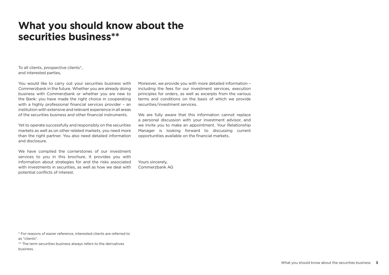# **What you should know about the securities business\*\***

To all clients, prospective clients\*, and interested parties,

You would like to carry out your securities business with Commerzbank in the future. Whether you are already doing business with Commerzbank or whether you are new to the Bank: you have made the right choice in cooperating with a highly professional financial services provider – an institution with extensive and relevant experience in all areas of the securities business and other financial instruments.

Yet to operate successfully and responsibly on the securities markets as well as on other related markets, you need more than the right partner. You also need detailed information and disclosure.

We have compiled the cornerstones of our investment services to you in this brochure. It provides you with information about strategies for and the risks associated with investments in securities, as well as how we deal with potential conflicts of interest.

Moreover, we provide you with more detailed information – including the fees for our investment services, execution principles for orders, as well as excerpts from the various terms and conditions on the basis of which we provide securities/investment services.

We are fully aware that this information cannot replace a personal discussion with your investment advisor, and we invite you to make an appointment. Your Relationship Manager is looking forward to discussing current opportunities available on the financial markets.

Yours sincerely, Commerzbank AG

\* For reasons of easier reference, interested clients are referred to as "clients".

\*\* The term securities business always refers to the derivatives business.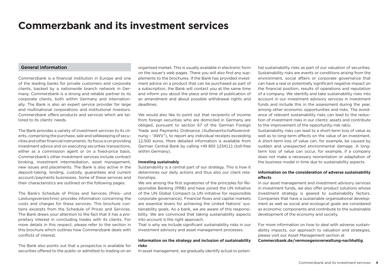# **Commerzbank and its investment services**

# **General information**

Commerzbank is a financial institution in Europe and one of the leading banks for private customers and corporate clients, backed by a nationwide branch network in Germany. Commerzbank is a strong and reliable partner to its corporate clients, both within Germany and internationally. The Bank is also an expert service provider for large and multinational corporations and institutional investors. Commerzbank offers products and services which are tailored to its clients' needs.

The Bank provides a variety of investment services to its clients, comprising the purchase, sale and safekeeping of securities and other financial instruments. Its focus is on providing investment advice and on executing securities transactions, either as a commission agent or on a fixed-price basis. Commerzbank's other investment services include contract broking, investment intermediation, asset management, new issues and placements. The Bank is also active in the deposit-taking, lending, custody, guarantees and current account/payments businesses. Some of these services and their characteristics are outlined on the following pages.

The Bank's Schedule of Prices and Services (Preis- und Leistungsverzeichnis) provides information concerning the costs and charges for these services. This brochure contains excerpts from the Schedule of Prices and Services. The Bank draws your attention to the fact that it has a proprietary interest in concluding trades with its clients. For more details in this respect, please refer to the section in this brochure which outlines how Commerzbank deals with conflicts of interest.

The Bank also points out that a prospectus is available for securities offered to the public or admitted to trading on an organised market. This is usually available in electronic form on the issuer's web pages. There you will also find any supplements to the brochures. If the Bank has provided investment advice on a product that can be purchased as part of a subscription, the Bank will contact you at the same time and inform you about the place and time of publication of an amendment and about possible withdrawal rights and deadlines.

We would also like to point out that recipients of income from foreign securities who are domiciled in Germany are obliged, pursuant to section 67 of the German Foreign Trade and Payments Ordinance (Außenwirtschaftsverordnung – "AWV"), to report any individual receipts exceeding 12,500 euros. More detailed information is available from German Central Bank by calling +49 800 1234111 (toll-free within Germany).

### **Investing sustainably**

Sustainability is a central part of our strategy. This is how it determines our daily actions and thus also our client relationships.

We are among the first signatories of the principles for Responsible Banking (PRB) and have joined the UN initiative of the UN Global Compact (a UN initiative for responsible corporate governance). Financial flows and capital markets are essential levers for achieving the United Nations' sustainability goals. As a bank, we are aware of this responsibility. We are convinced that taking sustainability aspects into account is the right approach.

That is why we include significant sustainability risks in our investment advisory and asset management processes.

### **Information on the strategy and inclusion of sustainability risks**

In asset management, we gradually identify actual or poten-

tial sustainability risks as part of our valuation of securities. Sustainability risks are events or conditions arising from the environment, social affairs or corporate governance that can have a real or potentially significant negative impact on the financial position, results of operations and reputation of a company. We identify and take sustainability risks into account in our investment advisory services in investment funds and include this in the assessment during the year, among other economic opportunities and risks. The avoidance of relevant sustainability risks can lead to the reduction of investment risks in our clients' assets and contribute to the improvement of the opportunity-risk ratio.

Sustainability risks can lead to a short-term loss of value as well as to long-term effects on the value of an investment. A short-term loss of value can, for example, be caused by sudden and unexpected environmental damage. A longterm loss of value can occur, for example, if a company does not make a necessary reorientation or adaptation of the business model in time due to sustainability aspects.

# **Information on the consideration of adverse sustainability effects**

In our asset management and investment advisory services in investment funds, we also offer product solutions whose investment strategy is geared to sustainability factors. Companies that have a sustainable organisational development as well as social and ecological goals are considered as economic components and contribute to the sustainable development of the economy and society.

For more information on how to deal with adverse sustainability impacts, our approach to valuation and strategies, please visit our Asset Management section at **Commerzbank.de/vermoegensverwaltung-nachhaltig**.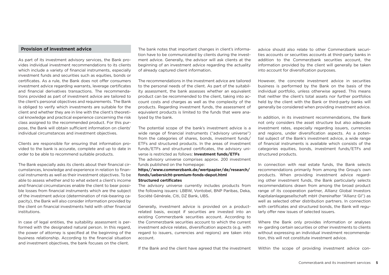# **Provision of investment advice**

As part of its investment advisory services, the Bank provides individual investment recommendations to its clients which include a variety of financial instruments, especially investment funds and securities such as equities, bonds or certificates. As a rule, the Bank does not offer consumers investment advice regarding warrants, leverage certificates and financial derivatives transactions. The recommendations provided as part of investment advice are tailored to the client's personal objectives and requirements. The Bank is obliged to verify which investments are suitable for the client and whether they are in line with the client's theoretical knowledge and practical experience concerning the risk class assigned to the recommended product. For this purpose, the Bank will obtain sufficient information on clients' individual circumstances and investment objectives.

Clients are responsible for ensuring that information provided to the bank is accurate, complete and up to date in order to be able to recommend suitable products.

The Bank especially asks its clients about their financial circumstances, knowledge and experience in relation to financial instruments as well as their investment objectives. To be able to assess whether and to what extent a client's income and financial circumstances enable the client to bear possible losses from financial instruments which are the subject of the investment advice (determination of risk-bearing capacity), the Bank will also consider information provided by the client on financial investments held with other financial institutions.

In case of legal entities, the suitability assessment is performed with the designated natural person. In this regard, the power of attorney is specified at the beginning of the business relationship. According to the financial situation and investment objectives, the bank focuses on the client.

The bank notes that important changes in client's information have to be communicated by clients during the investment advice. Generally, the advisor will ask clients at the beginning of an investment advice regarding the actuality of already captured client information.

The recommendations in the investment advice are tailored to the personal needs of the client. As part of the suitability assessment, the bank assesses whether an equivalent product can be recommended to the client, taking into account costs and charges as well as the complexity of the products. Regarding investment funds, the assessment of equivalent products is limited to the funds that were analysed by the bank.

The potential scope of the bank's investment advice is a wide range of financial instruments ("advisory universe") from the categories of shares, bonds, investment funds/ ETFs and structured products. In the areas of investment funds/ETFs and structured certificates, the advisory universe is restricted as follows: **Investment funds/ETFs** The advisory universe comprises approx. 200 investment

funds published on the homepage:

# **https//www.commerzbank.de/wertpapier/de/research/ fonds/uebersicht-premium-fonds-depot.html Structured certificates**

The advisory universe currently includes products from the following issuers: LBBW, Vontobel, BNP Paribas, Deka, Société Générale, Citi, DZ Bank, UBS.

Generally, investment advice is provided on a productrelated basis, except if securities are invested into an existing Commerzbank securities account. According to the Commerzbank securities account to which the current investment advice relates, diversification aspects (e.g. with regard to issuers, currencies and regions) are taken into account.

If the Bank and the client have agreed that the investment

advice should also relate to other Commerzbank securities accounts or securities accounts at third-party banks in addition to the Commerzbank securities account, the information provided by the client will generally be taken into account for diversification purposes.

However, the concrete investment advice in securities business is performed by the Bank on the basis of the individual portfolio, unless otherwise agreed. This means that neither the client's total assets nor further portfolios held by the client with the Bank or third-party banks will generally be considered when providing investment advice.

In addition, in its investment recommendations, the Bank not only considers the asset structure but also adequate investment rates, especially regarding issuers, currencies and regions, under diversification aspects. As a potential subject of the Bank's investment advice, a wide range of financial instruments is available which consists of the categories equities, bonds, investment funds/ETFs and structured products.

In connection with real estate funds, the Bank selects recommendations primarily from among the Group's own products. When providing investment advice regarding other investment funds, the Bank particularly selects recommendations drawn from among the broad product range of its cooperation partner, Allianz Global Investors Kapitalanlagegesellschaft mbH (hereinafter "Allianz GI") as well as selected other distribution partners. In connection with certificates and structured bonds, the Bank will regularly offer new issues of selected issuers.

Where the Bank only provides information or analyses re- garding certain securities or other investments to clients without expressing an individual investment recommendation, this will not constitute investment advice.

Within the scope of providing investment advice con-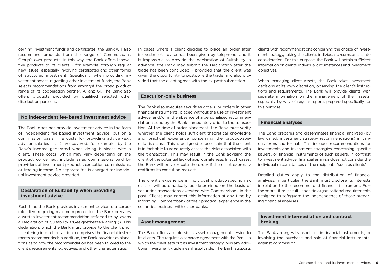cerning investment funds and certificates, the Bank will also recommend products from the range of Commerzbank Group's own products. In this way, the Bank offers innovative products to its clients – for example, through regular new issues, especially involving certificates and other forms of structured investment. Specifically, when providing investment advice regarding other investment funds, the Bank selects recommendations from amongst the broad product range of its cooperation partner, Allianz GI. The Bank also offers products provided by qualified selected other distribution partners.

# **No independent fee-based investment advice**

The Bank does not provide investment advice in the form of independent fee-based investment advice, but on a commission basis. The costs for providing advice (e.g. advisor salaries, etc.) are covered, for example, by the Bank's income generated when doing business with a client. These costs, which may vary depending on the product concerned, include sales commissions paid by providers of investment products, execution commissions, or trading income. No separate fee is charged for individual investment advice provided.

# **Declaration of Suitability when providing investment advice**

Each time the Bank provides investment advice to a corporate client requiring maximum protection, the Bank prepares a written investment recommendation (referred to by law as a Declaration of Suitability ("Geeignetheitserklärung")). This declaration, which the Bank must provide to the client prior to entering into a transaction, comprises the financial instruments recommended; in addition, the Bank provides explanations as to how the recommendation has been tailored to the client's requirements, objectives, and other characteristics.

In cases where a client decides to place an order after in- vestment advice has been given by telephone, and it is impossible to provide the declaration of Suitability in advance, the Bank may submit the Declaration after the trade has been concluded – provided that the client was given the opportunity to postpone the trade, and also provided that the client agrees with the ex-post submission.

## **Execution-only business**

The Bank also executes securities orders, or orders in other financial instruments, placed without the use of investment advice, and/or in the absence of a personalised recommendation issued by the Bank immediately prior to the transaction. At the time of order placement, the Bank must verify whether the client holds sufficient theoretical knowledge and practical experience concerning the product-specific risk class. This is designed to ascertain that the client is in fact able to adequately assess the risks associated with the transaction. This may result in the Bank advising the client of the potential lack of appropriateness. In such cases, the Bank will only execute the order if the client expressly reaffirms its execution request.

The client's experience in individual product-specific risk classes will automatically be determined on the basis of securities transactions executed with Commerzbank in the past. Clients may correct this information at any time by informing Commerzbank of their practical experience in the securities business with other banks.

# **Asset management**

The Bank offers a professional asset management service to its clients. This requires a separate agreement with the Bank, in which the client sets out its investment strategy, plus any additional investment guidelines if applicable. The Bank supports clients with recommendations concerning the choice of investment strategy, taking the client's individual circumstances into consideration. For this purpose, the Bank will obtain sufficient information on clients' individual circumstances and investment objectives.

When managing client assets, the Bank takes investment decisions at its own discretion, observing the client's instructions and requirements. The Bank will provide clients with separate information on the management of their assets, especially by way of regular reports prepared specifically for this purpose.

## **Financial analyses**

The Bank prepares and disseminates financial analyses (by law called: investment strategy recommendations) in various forms and formats. This includes recommendations for investments and investment strategies concerning specific issuers, or financial instruments of such issuers. In contrast to investment advice, financial analysis does not consider the individual circumstances of the recipients (such as clients).

Detailed duties apply to the distribution of financial analyses; in particular, the Bank must disclose its interests in relation to the recommended financial instrument. Furthermore, it must fulfil specific organisational requirements designed to safeguard the independence of those preparing financial analyses.

# **Investment intermediation and contract broking**

The Bank arranges transactions in financial instruments, or involving the purchase and sale of financial instruments, against commission.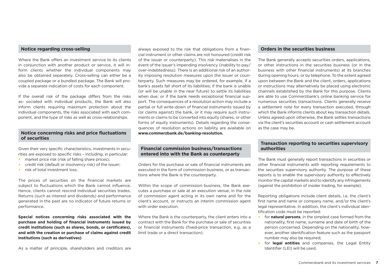# **Notice regarding cross-selling**

Where the Bank offers an investment service to its clients in conjunction with another product or service, it will inform clients whether the individual components may also be obtained separately. Cross-selling can either be a coupled package or a bundled package. The Bank will provide a separate indication of costs for each component.

If the overall risk of the package differs from the risks as- sociated with individual products, the Bank will also inform clients requiring maximum protection about the individual components, the risks associated with each component, and the type of risks as well as cross-relationships.

# **Notice concerning risks and price fluctuations of securities**

Given their very specific characteristics, investments in securities are exposed to specific risks – including, in particular:

- market price risk (risk of falling share prices):
- •  credit risk (default or insolvency risk) of the issuer;
- risk of total investment loss.

The prices of securities on the financial markets are subject to fluctuations which the Bank cannot influence. Hence, clients cannot rescind individual securities trades. Returns (such as interest and dividends) and performance generated in the past are no indicator of future returns or performance.

**Special notices concerning risks associated with the purchase and holding of financial instruments issued by credit institutions (such as shares, bonds, or certificates), and with the creation or purchase of claims against credit institutions (such as derivatives)**

always exposed to the risk that obligations from a financial instrument or other claims are not honoured (credit risk of the issuer or counterparty). This risk materialises in the event of the issuer's impending insolvency (inability to pay/ over-indebtedness). There is an additional risk of an authority imposing resolution measures upon the issuer or counterparty. Such measures may be ordered, for example, if a bank's assets fall short of its liabilities; if the bank is unable (or will be unable in the near future) to settle its liabilities when due; or if the bank needs exceptional financial support. The consequences of a resolution action may include a partial or full write-down of financial instruments issued by (or claims against) the bank, or it may require such instruments or claims to be converted into equity (shares, or other forms of equity instruments). Details regarding the consequences of resolution actions on liability are available on **www.commerzbank.de/banking-resolution.** 

# **Financial commission business/transactions entered into with the Bank as counterparty**

Orders for the purchase or sale of financial instruments are executed in the form of commission business, or as transactions where the Bank is the counterparty.

Within the scope of commission business, the Bank executes a purchase or sale at an execution venue, in the role of commission agent acting in its own name and for the client's account, or instructs an interim commission agent with order execution.

Where the Bank is the counterparty, the client enters into a contract with the Bank for the purchase or sale of securities or financial instruments (fixed-price transaction, e.g. as a limit trade or a direct transaction).

## **Orders in the securities business**

The Bank generally accepts securities orders, applications, or other instructions in the securities business (or in the business with other financial instruments) at its branches during opening hours, or by telephone. To the extent agreed upon between the Bank and the client, orders, applications or instructions may alternatively be placed using electronic channels established by the Bank for this purpose. Clients are able to use Commerzbank's online banking service for numerous securities transactions. Clients generally receive a settlement note for every transaction executed, through which the Bank informs clients about key transaction details. Unless agreed upon otherwise, the Bank settles transactions via the client's securities account or cash settlement account as the case may be.

# **Transaction reporting to securities supervisory authorities**

The Bank must generally report transactions in securities or other financial instruments with reporting requirements to the securities supervisory authority. The purpose of these reports is to enable the supervisory authority to effectively monitor the capital markets and to identify any infringements (against the prohibition of insider trading, for example).

Reporting obligations include client details, i.e. the client's first name and name or company name, and/or the client's legal representative. In addition, the client's individual identification code must be reported:

- •  for **natural persons**, in the simplest case formed from the nationality, first name, surname and date of birth of the person concerned. Depending on the nationality, however, another identification feature such as the passport number may also be required;
- •  for **legal entities** and companies, the Legal Entity Identifier (LEI) will be used.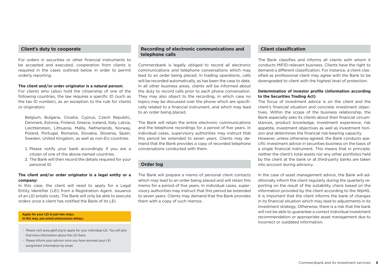# **Client's duty to cooperate**

For orders in securities or other financial instruments to be accepted and executed, cooperation from clients is required in the cases outlined below in order to permit orderly reporting.

### **The client and/or order originator is a natural person:**

For clients who (also) hold the citizenship of one of the following countries, the law requires a specific ID (such as the tax ID number), as an exception to the rule for clients or originators:

 Belgium, Bulgaria, Croatia, Cyprus, Czech Republic, Denmark, Estonia, Finland, Greece, Iceland, Italy, Latvia, Liechtenstein, Lithuania, Malta, Netherlands, Norway, Poland, Portugal, Romania, Slovakia, Slovenia, Spain, Sweden, United Kingdom, as well as non-EU countries.

- 1. Please notify your bank accordingly if you are a citizen of one of the above-named countries.
- 2. The Bank will then record the details required for your personal ID.

# **The client and/or order originator is a legal entity or a company:**

In this case, the client will need to apply for a Legal Entity Identifier (LEI) from a Registration Agent. Issuance of an LEI entails costs. The Bank will only be able to execute orders once a client has notified the Bank of its LEI.

### **Apply for your LEI in just two steps. In this way, you avoid unnecessary delays.**

- Please visit www.gleif.org to apply for your individual LEI. You will also find more information about the LEI there.
- Please inform your advisor once you have received your LEI assignment information by email.

# **Recording of electronic communications and telephone calls**

Commerzbank is legally obliged to record all electronic communications and telephone conversations which may lead to an order being placed. In trading operations, calls will be recorded automatically, as has been the case to date. In all other business areas, clients will be informed about the duty to record calls prior to each phone conversation. They may also object to the recording, in which case no topics may be discussed over the phone which are specifically related to a financial instrument, and which may lead to an order being placed.

The Bank will retain the entire electronic communications and the telephone recordings for a period of five years. In individual cases, supervisory authorities may instruct that this period be extended to seven years. Clients may demand that the Bank provides a copy of recorded telephone conversations conducted with them.

# **Order log**

The Bank will prepare a memo of personal client contacts which may lead to an order being placed and will retain this memo for a period of five years. In individual cases, supervisory authorities may instruct that this period be extended to seven years. Clients may demand that the Bank provides them with a copy of such memos.

# **Client classification**

The Bank classifies and informs all clients with whom it conducts MiFID-relevant business. Clients have the right to demand a different classification. For instance, a client classified as professional client may agree with the Bank to be downgraded to client with the highest level of protection.

# **Determination of investor profile (information according to the Securities Trading Act)**

The focus of investment advice is on the client and the client's financial situation and concrete investment objectives. Within the scope of the business relationship, the Bank especially asks its clients about their financial circumstances, product knowledge, investment experience, risk appetite, investment objectives as well as investment horizon and determines the financial risk-bearing capacity. However, unless otherwise agreed, the Bank conducts specific investment advice in securities business on the basis of a single financial instrument. This means that in principle, neither the client's total assets nor any other portfolios held by the client at the bank or at third-party banks are taken into account during advisory.

In the case of asset management advice, the Bank will additionally inform the client regularly during the quarterly reporting on the result of the suitability check based on the information provided by the client according to the WpHG. It is important that the client informs the bank of changes in its financial situation which may lead to adjustments in its investment strategy. Otherwise, there is a risk that the bank will not be able to guarantee a correct individual investment recommendation or appropriate asset management due to incorrect or outdated information.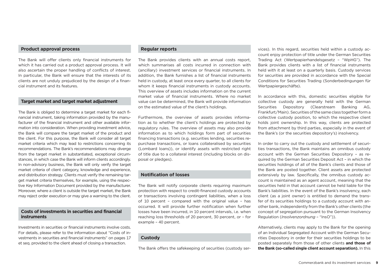# **Product approval process**

The Bank will offer clients only financial instruments for which it has carried out a product approval process. It will also ascertain the proper handling of conflicts of interest. In particular, the Bank will ensure that the interests of its clients are not unduly prejudiced by the design of a financial instrument and its features.

# **Target market and target market adjustment**

The Bank is obliged to determine a target market for each financial instrument, taking information provided by the manufacturer of the financial instrument and other available information into consideration. When providing investment advice, the Bank will compare the target market of the product and the client. For this purpose, the Bank will consider all target market criteria which may lead to restrictions concerning its recommendations. The Bank's recommendations may diverge from the target market in substantiated, exceptional circumstances, in which case the Bank will inform clients accordingly. In non-advisory business, the Bank will only verify the target market criteria of client category, knowledge and experience, and distribution strategy. Clients must verify the remaining target market criteria themselves, for example, using the respective Key Information Document provided by the manufacturer. Moreover, where a client is outside the target market, the Bank may reject order execution or may give a warning to the client.

# **Costs of investments in securities and financial instruments**

Investments in securities or financial instruments involve costs. For details, please refer to the information about "Costs of investments in securities and financial instruments" on pages 17 et seq. provided to the client ahead of closing a transaction.

# **Regular reports**

The Bank provides clients with an annual costs report, which summarises all costs incurred in connection with (ancillary) investment services or financial instruments. In addition, the Bank furnishes a list of financial instruments held in custody, at least once every quarter, to all clients for whom it keeps financial instruments in custody accounts. This overview of assets includes information on the current market value of financial instruments. Where no market value can be determined, the Bank will provide information on the estimated value of the client's holdings.

Furthermore, the overview of assets provides information as to whether the client's holdings are protected by regulatory rules. The overview of assets may also provide information as to which holdings form part of securities financing transactions (e.g. securities lending, securities repurchase transactions, or loans collateralised by securities (Lombard loans)), or identify assets with restricted right of title due to a collateral interest (including blocks on disposal or pledges).

# **Notification of losses**

The Bank will notify corporate clients requiring maximum protection with respect to credit-financed custody accounts or transactions involving contingent liabilities, when a loss of 10 percent – compared with the original value – has occurred. It will provide further notification when further losses have been incurred, in 10 percent intervals, i.e. when reaching loss thresholds of 20 percent, 30 percent, or – for example – 40 percent.

# **Custody**

The Bank offers the safekeeping of securities (custody ser-

vices). In this regard, securities held within a custody account enjoy protection of title under the German Securities Trading Act (Wertpapierhandelsgesetz – "WpHG"). The Bank provides clients with a list of financial instruments held with it at least on a quarterly basis. Custody services for securities are provided in accordance with the Special Conditions for Securities Trading (Sonderbedingungen für Wertpapiergeschäfte).

In accordance with this, domestic securities eligible for collective custody are generally held with the German Securities Depository (Clearstream Banking AG, Frankfurt/Main). Securities of the same class together form a collective custody position, to which the respective client holds joint ownership. In this way, clients are protected from attachment by third parties, especially in the event of the Bank's (or the securities depository's) insolvency.

In order to carry out the custody and settlement of securities transactions, the Bank maintains an omnibus custody account with the German Securities Depository – as required by the German Securities Deposit Act – in which the securities holdings of all of the Bank's clients and those of the Bank are posted together. Client assets are protected extensively by law. Specifically, the omnibus custody account is maintained as an agent account, meaning that the securities held in that account cannot be held liable for the Bank's liabilities. In the event of the Bank's insolvency, each client (as a joint owner) is entitled to demand the transfer of its securities holdings to a custody account with another bank, independently from the Bank's other clients (the concept of segregation pursuant to the German Insolvency Regulation (*Insolvenzordnung* – "InsO")).

Alternatively, clients may apply to the Bank for the opening of an Individual Segregated Account with the German Securities Depository in order for their securities holdings to be posted separately from those of other clients **and those of the Bank (so-called single client account separation).** In this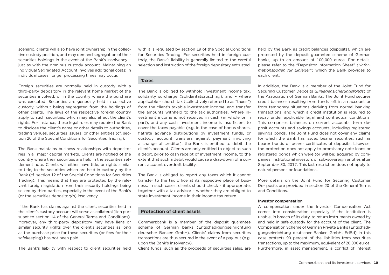scenario, clients will also have joint ownership in the collective custody position, and may demand segregation of their securities holdings in the event of the Bank's insolvency – just as with the omnibus custody account. Maintaining an Individual Segregated Account involves additional costs; in individual cases, longer processing times may occur.

Foreign securities are normally held in custody with a third-party depository in the relevant home market of the securities involved, or in the country where the purchase was executed. Securities are generally held in collective custody, without being segregated from the holdings of other clients. The laws of the respective foreign country apply to such securities, which may also affect the client's rights. For instance, these legal rules may require the Bank to disclose the client's name or other details to authorities, trading venues, securities issuers, or other entities (cf. section 20 of the Special Conditions for Securities Trading).

The Bank maintains business relationships with depositories in all major capital markets. Clients are notified of the country where their securities are held in the securities settlement note. Clients will either have title, or rights similar to title, to the securities which are held in custody by the Bank (cf. section 12 of the Special Conditions for Securities Trading). This means that they are protected by the relevant foreign legislation from their security holdings being seized by third parties, especially in the event of the Bank's (or the securities depository's) insolvency.

If the Bank has claims against the client, securities held in the client's custody account will serve as collateral (lien pursuant to section 14 of the General Terms and Conditions). Moreover, any third-party depository may have liens or similar security rights over the client's securities as long as the purchase price for these securities (or fees for their safekeeping) has not been paid.

The Bank's liability with respect to client securities held

with it is regulated by section 19 of the Special Conditions for Securities Trading. For securities held in foreign custody, the Bank's liability is generally limited to the careful selection and instruction of the foreign depositary entrusted.

# **Taxes**

The Bank is obliged to withhold investment income tax, solidarity surcharge (Solidaritätszuschlag), and – where applicable – church tax (collectively referred to as "taxes") from the client's taxable investment income, and transfer the amounts withheld to the tax authorities. Where investment income is not received in cash (in whole or in part), and any cash investment income is insufficient to cover the taxes payable (e.g. in the case of bonus shares, flatrate advance distributions by investment funds, or custody account transfers against payment involving a change of creditor), the Bank is entitled to debit the client's account. Clients are only entitled to object to such a debit, prior to cash receipt of investment income, to the extent that such a debit would cause a drawdown of a current account overdraft facility.

The Bank is obliged to report any taxes which it cannot transfer to the tax office at its respective place of business. In such cases, clients should check – if appropriate, together with a tax advisor – whether they are obliged to state investment income in their income tax return.

# **Protection of client assets**

Commerzbank is a member of the deposit guarantee scheme of German banks (Entschädigungseinrichtung deutscher Banken GmbH). Clients' claims from securities transactions are thus secured in the event of a pay-out (e.g. upon the Bank's insolvency).

Client funds, such as the proceeds of securities sales, are

held by the Bank as credit balances (deposits), which are protected by the deposit guarantee scheme of German banks, up to an amount of 100,000 euros. For details, please refer to the "Depositor Information Sheet" ("*Informationsbogen für Einleger*") which the Bank provides to each client.

In addition, the Bank is a member of the Joint Fund for Securing Customer Deposits (*Einlagensicherungsfonds*) of the Association of German Banks. The Joint Fund secures credit balances resulting from funds left in an account or from temporary situations deriving from normal banking transactions, and which a credit institution is required to repay under applicable legal and contractual conditions. This comprises balances on current accounts, term deposit accounts and savings accounts, including registered savings bonds. The Joint Fund does not cover any claims for which the Bank has issued bearer securities, such as bearer bonds or bearer certificates of deposits. Likewise, the protection does not apply to promissory note loans or registered bonds which were (or will be) acquired by companies, institutional investors or sub-sovereign entities after September 30, 2017. This last restriction does not apply to natural persons or foundations.

More details on the Joint Fund for Securing Customer De- posits are provided in section 20 of the General Terms and Conditions.

### **Investor compensation**

A compensation under the Investor Compensation Act comes into consideration especially if the institution is unable, in breach of its duty, to return instruments owned by and held in safe custody for the account of the client. The Compensation Scheme of German Private Banks (Entschädigungseinrichtung deutscher Banken GmbH, EdBd) in this case protects 90 percent of the liabilities from securities transactions, up to the maximum, equivalent of 20,000 euros. Furthermore, in asset management, a conflict of interest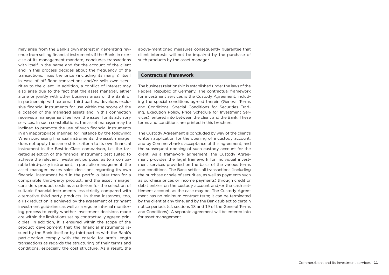may arise from the Bank's own interest in generating revenue from selling financial instruments if the Bank, in exercise of its management mandate, concludes transactions with itself in the name and for the account of the client and in this process decides about the frequency of the transactions, fixes the price (including its margin) itself in case of off-floor transactions and/or sells own securities to the client. In addition, a conflict of interest may also arise due to the fact that the asset manager, either alone or jointly with other business areas of the Bank or in partnership with external third parties, develops exclusive financial instruments for use within the scope of the allocation of the managed assets and in this connection receives a management fee from the issuer for its advisory services. In such constellations, the asset manager may be inclined to promote the use of such financial instruments in an inappropriate manner, for instance by the following: When purchasing financial instruments, the asset manager does not apply the same strict criteria to its own financial instrument in the Best-in-Class comparison, i.e. the targeted selection of the financial instrument best suited to achieve the relevant investment purpose, as to a comparable third-party instrument; in portfolio management, the asset manager makes sales decisions regarding its own financial instrument held in the portfolio later than for a comparable third-party product, and the asset manager considers product costs as a criterion for the selection of suitable financial instruments less strictly compared with alternative third-party products. In these instances, too, a risk reduction is achieved by the agreement of stringent investment guidelines as well as a regular internal monitoring process to verify whether investment decisions made are within the limitations set by contractually agreed principles. In addition, it is ensured within the scope of the product development that the financial instruments issued by the Bank itself or by third parties with the Bank's participation comply with the criteria for arm's length transactions as regards the structuring of their terms and conditions, especially the cost structure. As a result, the

above-mentioned measures consequently guarantee that client interests will not be impaired by the purchase of such products by the asset manager.

# **Contractual framework**

The business relationship is established under the laws of the Federal Republic of Germany. The contractual framework for investment services is the Custody Agreement, including the special conditions agreed therein (General Terms and Conditions, Special Conditions for Securities Trading, Execution Policy, Price Schedule for Investment Services), entered into between the client and the Bank. These terms and conditions are printed in this brochure.

The Custody Agreement is concluded by way of the client's written application for the opening of a custody account. and by Commerzbank's acceptance of this agreement, and the subsequent opening of such custody account for the client. As a framework agreement, the Custody Agreement provides the legal framework for individual investment services provided on the basis of the various terms and conditions. The Bank settles all transactions (including the purchase or sale of securities, as well as payments such as purchase prices or income payments) through credit or debit entries on the custody account and/or the cash settlement account, as the case may be. The Custody Agreement has no minimum contract term; it can be terminated by the client at any time, and by the Bank subject to certain notice periods (cf. sections 18 and 19 of the General Terms and Conditions). A separate agreement will be entered into for asset management.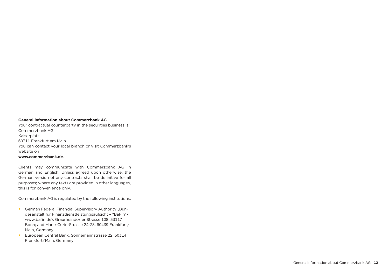### **General information about Commerzbank AG**

Your contractual counterparty in the securities business is: Commerzbank AG Kaiserplatz 60311 Frankfurt am Main You can contact your local branch or visit Commerzbank's website on **www.commerzbank.de**.

Clients may communicate with Commerzbank AG in German and English. Unless agreed upon otherwise, the German version of any contracts shall be definitive for all purposes; where any texts are provided in other languages, this is for convenience only.

Commerzbank AG is regulated by the following institutions:

- •  German Federal Financial Supervisory Authority (Bundesanstalt für Finanzdienstleistungsaufsicht – "BaFin"– www.bafin.de), Graurheindorfer Strasse 108, 53117 Bonn; and Marie-Curie-Strasse 24-28, 60439 Frankfurt/ Main, Germany
- •  European Central Bank, Sonnemannstrasse 22, 60314 Frankfurt/Main, Germany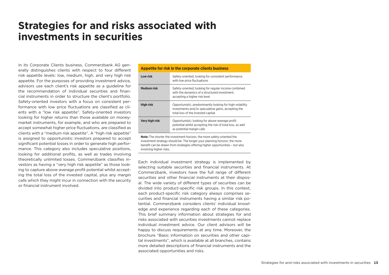# **Strategies for and risks associated with investments in securities**

In its Corporate Clients business, Commerzbank AG generally distinguishes clients with respect to four different risk appetite levels: low, medium, high, and very high risk appetite. For the purposes of providing investment advice, advisors use each client's risk appetite as a guideline for the recommendation of individual securities and financial instruments in order to structure the client's portfolio. Safety-oriented investors with a focus on consistent performance with low price fluctuations are classified as clients with a "low risk appetite". Safety-oriented investors looking for higher returns than those available on moneymarket instruments, for example, and who are prepared to accept somewhat higher price fluctuations, are classified as clients with a "medium risk appetite". A "high risk appetite" is assigned to opportunistic investors prepared to accept significant potential losses in order to generate high performance. This category also includes speculative positions, looking for additional profits, as well as trades involving theoretically unlimited losses. Commerzbank classifies investors as having a "very high risk appetite" as those looking to capture above-average profit potential whilst accepting the total loss of the invested capital, plus any margin calls which they might incur in connection with the security or financial instrument involved.

|                    | Appetite for risk in the corporate clients business                                                                                                   |
|--------------------|-------------------------------------------------------------------------------------------------------------------------------------------------------|
| Low risk           | Safety-oriented; looking for consistent performance<br>with low price fluctuations                                                                    |
| <b>Medium risk</b> | Safety-oriented; looking for regular income combined<br>with the dynamics of a structured investment,<br>accepting a higher risk level                |
| <b>High risk</b>   | Opportunistic; predominantly looking for high-volatility<br>investments and/or speculative gains, accepting the<br>total loss of the invested capital |
| Very high risk     | Opportunistic; looking for above-average profit<br>potential whilst accepting the risk of total loss, as well<br>as potential margin calls            |
|                    |                                                                                                                                                       |

**Note:** The shorter the investment horizon, the more safety-oriented the investment strategy should be. The longer your planning horizon, the more benefit can be drawn from strategies offering higher opportunities – but also involving higher risks.

Each individual investment strategy is implemented by selecting suitable securities and financial instruments. At Commerzbank, investors have the full range of different securities and other financial instruments at their disposal. The wide variety of different types of securities can be divided into product-specific risk groups. In this context, each product-specific risk category always comprises securities and financial instruments having a similar risk potential. Commerzbank considers clients' individual knowledge and experience regarding each of these categories. This brief summary information about strategies for and risks associated with securities investments cannot replace individual investment advice. Our client advisors will be happy to discuss requirements at any time. Moreover, the brochure "Basic information on securities and other capital investments", which is available at all branches, contains more detailed descriptions of financial instruments and the associated opportunities and risks.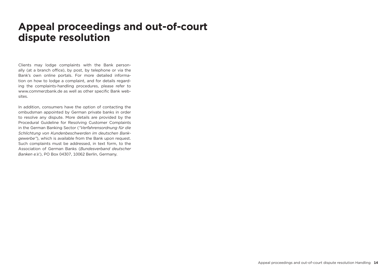# **Appeal proceedings and out-of-court dispute resolution**

Clients may lodge complaints with the Bank personally (at a branch office), by post, by telephone or via the Bank's own online portals. For more detailed information on how to lodge a complaint, and for details regarding the complaints-handling procedures, please refer to www.commerzbank.de as well as other specific Bank websites.

In addition, consumers have the option of contacting the ombudsman appointed by German private banks in order to resolve any dispute. More details are provided by the Procedural Guideline for Resolving Customer Complaints in the German Banking Sector (*"Verfahrensordnung für die Schlichtung von Kundenbeschwerden im deutschen Bankgewerbe"*), which is available from the Bank upon request. Such complaints must be addressed, in text form, to the Association of German Banks (*Bundesverband deutscher Banken e.V.*), PO Box 04307, 10062 Berlin, Germany.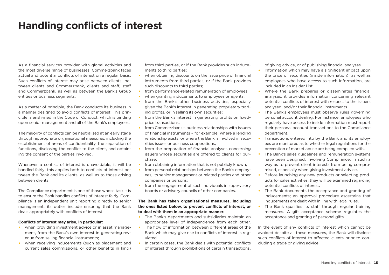# **Handling conflicts of interest**

As a financial services provider with global activities and the most diverse range of businesses, Commerzbank faces actual and potential conflicts of interest on a regular basis. Such conflicts of interest may arise between clients, between clients and Commerzbank, clients and staff, staff and Commerzbank, as well as between the Bank's Group entities or business segments.

As a matter of principle, the Bank conducts its business in a manner designed to avoid conflicts of interest. This principle is enshrined in the Code of Conduct, which is binding upon senior management and all of the Bank's employees.

The majority of conflicts can be neutralised at an early stage through appropriate organisational measures, including the establishment of areas of confidentiality, the separation of functions, disclosing the conflict to the client, and obtaining the consent of the parties involved.

Whenever a conflict of interest is unavoidable, it will be handled fairly; this applies both to conflicts of interest between the Bank and its clients, as well as to those arising between clients.

The Compliance department is one of those whose task it is to ensure the Bank handles conflicts of interest fairly. Compliance is an independent unit reporting directly to senior management; its duties include ensuring that the Bank deals appropriately with conflicts of interest.

## **Conflicts of interest may arise, in particular:**

- when providing investment advice or in asset management, from the Bank's own interest in generating revenue from selling financial instruments;
- when receiving inducements (such as placement and current sales commissions, or other benefits in kind)

from third parties, or if the Bank provides such inducements to third parties;

- when obtaining discounts on the issue price of financial instruments from third parties, or if the Bank provides such discounts to third parties;
- from performance-related remuneration of employees:
- when granting inducements to employees or agents;
- from the Bank's other business activities, especially given the Bank's interest in generating proprietary trading profits, or in selling its own securities;
- from the Bank's interest in generating profits on fixedprice transactions;
- •  from Commerzbank's business relationships with issuers of financial instruments – for example, where a lending relationship exists, or where the Bank is involved in securities issues or business cooperations;
- from the preparation of financial analyses concerning issuers whose securities are offered to clients for purchase;
- from obtaining information that is not publicly known:
- from personal relationships between the Bank's employees, its senior management or related parties and other companies or persons;
- from the engagement of such individuals in supervisory boards or advisory councils of other companies.

# **The Bank has taken organisational measures, including the ones listed below, to prevent conflicts of interest, or to deal with them in an appropriate manner:**

- •  The Bank's departments and subsidiaries maintain an appropriate level of independence from each other.
- The flow of information between different areas of the Bank which may give rise to conflicts of interest is regulated.
- In certain cases, the Bank deals with potential conflicts of interest through prohibitions of certain transactions,

of giving advice, or of publishing financial analyses.

- Information which may have a significant impact upon the price of securities (inside information), as well as employees who have access to such information, are included in an Insider List.
- •  Where the Bank prepares or disseminates financial analyses, it provides information concerning relevant potential conflicts of interest with respect to the issuers analysed, and/or their financial instruments.
- The Bank's employees must observe rules governing personal account dealing. For instance, employees who regularly have access to inside information must report their personal account transactions to the Compliance department.
- •  Transactions entered into by the Bank and its employees are monitored as to whether legal regulations for the prevention of market abuse are being complied with.
- The Bank's sales guidelines and remuneration systems have been designed, involving Compliance, in such a way as to prevent client interests from being compromised, especially when giving investment advice.
- Before launching any new products or selecting products for sales activities, they will be examined regarding potential conflicts of interest.
- The Bank documents the acceptance and granting of inducements; an approval procedure ascertains that inducements are dealt with in line with legal rules.
- The Bank qualifies its staff through regular training measures. A gift acceptance scheme regulates the acceptance and granting of personal gifts.

In the event of any conflicts of interest which cannot be avoided despite all these measures, the Bank will disclose such conflicts of interest to affected clients prior to concluding a trade or giving advice.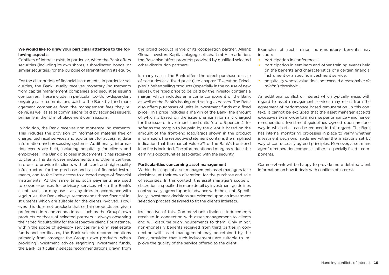# **We would like to draw your particular attention to the following aspects:**

Conflicts of interest exist, in particular, when the Bank offers securities (including its own shares, subordinated bonds, or similar securities) for the purpose of strengthening its equity.

For the distribution of financial instruments, in particular securities, the Bank usually receives monetary inducements from capital management companies and securities issuing companies. These include, in particular, portfolio-dependent ongoing sales commissions paid to the Bank by fund management companies from the management fees they receive, as well as sales commissions paid by securities issuers, primarily in the form of placement commissions.

In addition, the Bank receives non-monetary inducements. This includes the provision of information material free of charge, technical services and equipment for accessing data information and processing systems. Additionally, information events are held, including hospitality for clients and employees. The Bank discloses inducements it has received to clients. The Bank uses inducements and other incentives in order to provide its clients with efficient and high-quality infrastructure for the purchase and sale of financial instruments, and to facilitate access to a broad range of financial instruments. At the same time, such payments are used to cover expenses for advisory services which the Bank's clients use – or may use – at any time. In accordance with legal rules, the Bank always recommends those financial instruments which are suitable for the clients involved. However, this does not preclude that certain products are given preference in recommendations – such as the Group's own products or those of selected partners – always observing their specific suitability for the respective client. For instance, within the scope of advisory services regarding real estate funds and certificates, the Bank selects recommendations primarily from amongst the Group's own products. When providing investment advice regarding investment funds, the Bank particularly selects recommendations drawn from

the broad product range of its cooperation partner, Allianz Global Investors Kapitalanlagegesellschaft mbH. In addition, the Bank also offers products provided by qualified selected other distribution partners.

In many cases, the Bank offers the direct purchase or sale of securities at a fixed price (see chapter "Execution Principles"). When selling products (especially in the course of new issues), the fixed price to be paid by the investor contains a margin which includes an income component of the Bank as well as the Bank's issuing and selling expenses. The Bank also offers purchases of units in investment funds at a fixed price. This price includes a margin of the Bank, the amount of which is based on the issue premium normally charged for the issue of investment fund units (up to 5 percent). Insofar as the margin to be paid by the client is based on the amount of the front-end load/agios shown in the product information, the respective statement contains the simplified indication that the market value x% of the Bank's front-end loan fee is included. The aforementioned margins reduce the earnings opportunities associated with the security.

### **Particularities concerning asset management**

Within the scope of asset management, asset managers take decisions, at their own discretion, for the purchase and sale of securities. In this context, the asset manager's scope of discretion is specified in more detail by investment guidelines contractually agreed upon in advance with the client. Specifically, investment decisions are oriented upon an investment selection process designed to fit the client's interests.

Irrespective of this, Commerzbank discloses inducements received in connection with asset management to clients and will disburse such inducements to them. Only minor, non-monetary benefits received from third parties in connection with asset management may be retained by the Bank, provided that such inducements are suitable to improve the quality of the service offered to the client.

Examples of such minor, non-monetary benefits may include:

- •  participation in conferences;
- participation in seminars and other training events held on the benefits and characteristics of a certain financial instrument or a specific investment service;
- •  hospitality whose value does not exceed a reasonable *de minimis* threshold.

An additional conflict of interest which typically arises with regard to asset management services may result from the agreement of performance-based remuneration. In this context, it cannot be excluded that the asset manager accepts excessive risks in order to maximise performance – and hence, remuneration. Investment guidelines agreed upon are one way in which risks can be reduced in this regard. The Bank has internal monitoring processes in place to verify whether investment decisions made are within the limitations set by way of contractually agreed principles. Moreover, asset managers' remuneration comprises other – especially fixed – components.

Commerzbank will be happy to provide more detailed client information on how it deals with conflicts of interest.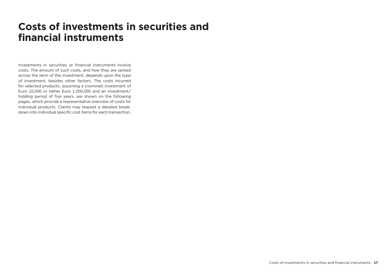# **Costs of investments in securities and financial instruments**

Investments in securities or financial instruments involve costs. The amount of such costs, and how they are spread across the term of the investment, depends upon the type of investment, besides other factors. The costs incurred for selected products, assuming a (nominal) investment of Euro 10,000 or rather Euro 1,000,000 and an investment/ holding period of five years, are shown on the following pages, which provide a representative overview of costs for individual products. Clients may request a detailed breakdown into individual specific cost items for each transaction.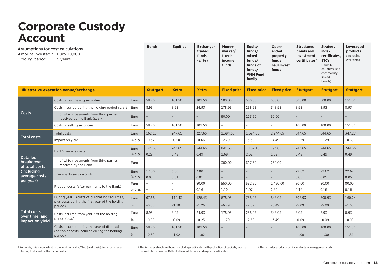# **Corporate Custody Account**

| <b>Equities</b><br><b>Bonds</b><br><b>Exchange-</b><br>Money-<br><b>Equity</b><br>Open-<br><b>Structured</b><br>Assumptions for cost calculations<br>traded<br>market/<br>funds/<br>ended<br>bonds and<br>Amount invested <sup>1</sup> : Euro 10,000<br>funds<br>fixed-<br>mixed<br>property<br>investment<br>Holding period:<br>5 years<br>(ETFs)<br>funds<br>income<br>funds/<br>certificates <sup>2</sup><br>funds<br>funds of<br>hausInvest<br>funds/<br>funds<br><b>VMM Fund</b><br>family | index<br>certificates.<br><b>ETCs</b><br>(usually<br>collateralised<br>commodity-<br>linked<br>bonds) | Leveraged<br>products<br>(including<br>warrants) |
|-------------------------------------------------------------------------------------------------------------------------------------------------------------------------------------------------------------------------------------------------------------------------------------------------------------------------------------------------------------------------------------------------------------------------------------------------------------------------------------------------|-------------------------------------------------------------------------------------------------------|--------------------------------------------------|
| <b>Illustrative execution venue/exchange</b><br><b>Xetra</b><br><b>Stuttgart</b><br><b>Xetra</b><br><b>Fixed price</b><br><b>Fixed price</b><br><b>Fixed price</b><br><b>Stuttgart</b>                                                                                                                                                                                                                                                                                                          | <b>Stuttgart</b>                                                                                      | <b>Stuttgart</b>                                 |
| 58.75<br>101.50<br>500.00<br>Costs of purchasing securities<br>Euro<br>101.50<br>500.00<br>500.00<br>500.00                                                                                                                                                                                                                                                                                                                                                                                     | 500.00                                                                                                | 151.31                                           |
| 8.93<br>8.93<br>24.93<br>178.93<br>238.93<br>348.93 <sup>3</sup><br>8.93<br>Costs incurred during the holding period (p.a.)<br>Euro                                                                                                                                                                                                                                                                                                                                                             | 8.93                                                                                                  | 8.93                                             |
| Costs<br>of which: payments from third parties<br>Euro<br>60.00<br>123.50<br>50.00<br>received by the Bank (p.a.)                                                                                                                                                                                                                                                                                                                                                                               |                                                                                                       |                                                  |
| Costs of selling securities<br>58.75<br>101.50<br>101.50<br>100.00<br>Euro                                                                                                                                                                                                                                                                                                                                                                                                                      | 100.00                                                                                                | 151.31                                           |
| 247.65<br>162.15<br>327.65<br>1,394.65<br>1,694.65<br>2,244.65<br>644.65<br>Total costs<br>Euro<br><b>Total costs</b>                                                                                                                                                                                                                                                                                                                                                                           | 644.65                                                                                                | 347.27                                           |
| $-0.66$<br>% p.a.<br>$-0.32$<br>$-0.50$<br>$-2.79$<br>$-3.39$<br>$-4.49$<br>$-1.29$<br>Impact on yield                                                                                                                                                                                                                                                                                                                                                                                          | $-1.29$                                                                                               | $-0.69$                                          |
| 244.65<br>244.65<br>844.65<br>794.65<br>244.65<br>144.65<br>1,162.15<br>Euro<br>Bank's service costs<br>% p.a.<br>0.29<br>0.49<br>0.49<br>1.69<br>2.32<br>0.49<br>1.59                                                                                                                                                                                                                                                                                                                          | 244.65<br>0.49                                                                                        | 244.65<br>0.49                                   |
| <b>Detailed</b><br>of which: payments from third parties<br>breakdown<br>300.00<br>617.50<br>250.00<br>Euro<br>received by the Bank<br>of total costs                                                                                                                                                                                                                                                                                                                                           |                                                                                                       |                                                  |
| 17.50<br>3.00<br>3.00<br>22.62<br>(including<br>Euro<br>Third-party service costs<br>average costs<br>% p.a.<br>0.03<br>0.01<br>0.01<br>0.05                                                                                                                                                                                                                                                                                                                                                    | 22.62<br>0.05                                                                                         | 22.62<br>0.05                                    |
| per year)<br>80.00<br>550.00<br>532.50<br>1,450.00<br>80.00<br>Euro<br>Product costs (after payments to the Bank)<br>% p.a.<br>0.16<br>1.10<br>1.07<br>2.90<br>0.16                                                                                                                                                                                                                                                                                                                             | 80.00<br>0.16                                                                                         | 80.00<br>0.16                                    |
| During year 1 (costs of purchasing securities,<br>67.68<br>126.43<br>678.93<br>738.93<br>848.93<br>508.93<br>110.43<br>Euro                                                                                                                                                                                                                                                                                                                                                                     | 508.93                                                                                                | 160.24                                           |
| plus costs during the first year of the holding<br>%<br>$-1.10$<br>$-1.26$<br>$-6.79$<br>$-7.39$<br>$-8.49$<br>$-5.09$<br>$-0.68$<br>period)                                                                                                                                                                                                                                                                                                                                                    | $-5.09$                                                                                               | $-1.60$                                          |
| <b>Total costs</b><br>8.93<br>8.93<br>24.93<br>178.93<br>238.93<br>348.93<br>8.93<br>Euro<br>Costs incurred from year 2 of the holding<br>over time, and                                                                                                                                                                                                                                                                                                                                        | 8.93                                                                                                  | 8.93                                             |
| period (p.a.)<br>%<br>$-0.09$<br>$-0.09$<br>$-0.25$<br>$-1.79$<br>$-2.39$<br>$-3.49$<br>$-0.09$<br>impact on yield                                                                                                                                                                                                                                                                                                                                                                              | $-0.09$                                                                                               | $-0.09$                                          |
| Costs incurred during the year of disposal<br>58.75<br>101.50<br>101.50<br>100.00<br>Euro<br>(on top of costs incurred during the holding<br>$\%$<br>$-0.59$<br>$-1.02$<br>$-1.02$<br>$-1.00$<br>period)                                                                                                                                                                                                                                                                                        | 100.00<br>$-1.00$                                                                                     | 151.31<br>$-1.51$                                |

<sup>1</sup> For funds, this is equivalent to the fund unit value/NAV (cost basis); for all other asset classes, it is based on the market value.

<sup>2</sup> This includes structured bonds (including certificates with protection of capital), reverse convertibles, as well as Delta-1, discount, bonus, and express certificates.

<sup>3</sup> This includes product specific real estate management costs.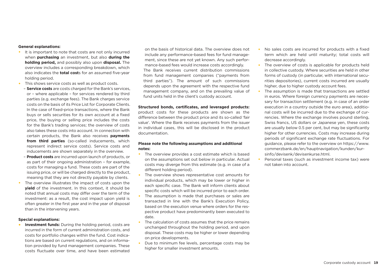### **General explanations:**

- •  It is important to note that costs are not only incurred when **purchasing** an investment, but also **during the holding period,** and possibly also upon **disposal.** The overview includes a corresponding breakdown, which also indicates the **total cost**s for an assumed five-year holding period.
- This shows service costs as well as product costs.
- **Service costs** are costs charged for the Bank's services, or – where applicable – for services rendered by third parties (e.g. exchange fees). The Bank charges service costs on the basis of its Price List for Corporate Clients. In the case of fixed-price transactions, where the Bank buys or sells securities for its own account at a fixed price, the buying or selling price includes the costs for the Bank's trading services; the overview of costs also takes these costs into account. In connection with certain products, the Bank also receives **payments from third parties** (so-called inducements, which represent indirect service costs). Service costs and inducements are shown separately in the overview.
- **Product costs** are incurred upon launch of products, or as part of their ongoing administration – for example, costs for managing a fund. These costs are part of the issuing price, or will be charged directly to the product, meaning that they are not directly payable by clients.
- The overview illustrates the impact of costs upon the **yield** of the investment. In this context, it should be noted that annual costs may differ over the term of the investment: as a result, the cost impact upon yield is often greater in the first year and in the year of disposal than in the intervening years.

### **Special explanations:**

**•  Investment funds:** During the holding period, costs are incurred in the form of current administration costs, and costs for portfolio changes within the fund. Cost indications are based on current regulations, and on information provided by fund management companies. These costs fluctuate over time, and have been estimated

on the basis of historical data. The overview does not include any performance-based fees for fund management, since these are not yet known. Any such performance-based fees would increase costs accordingly. The Bank receives current distribution commissions from fund management companies ("payments from third parties"). The amount of such commissions depends upon the agreement with the respective fund management company, and on the prevailing value of fund units held in the client's custody account.

### **Structured bonds, certificates, and leveraged products:**

product costs for these products are shown as the difference between the product price and its so-called 'fair value'. Where the Bank receives payments from the issuer in individual cases, this will be disclosed in the product documentation.

## **Please note the following assumptions and additional notes:**

- The overview provides a cost estimate which is based on the assumptions set out below in particular. Actual costs may diverge from this estimate (e.g. in case of a different holding period).
- The overview shows representative cost amounts for individual products, which may be lower or higher in each specific case. The Bank will inform clients about specific costs which will be incurred prior to each order.
- The assumption is made that purchases or sales are transacted in line with the Bank's Execution Policy, based on the execution venue where orders for the respective product have predominantly been executed to date.
- The calculation of costs assumes that the price remains unchanged throughout the holding period, and upon disposal. These costs may be higher or lower depending on price developments.
- •  Due to minimum fee levels, percentage costs may be higher for smaller investment amounts.
- No sales costs are incurred for products with a fixed term which are held until maturity; total costs will decrease accordingly.
- The overview of costs is applicable for products held in collective custody. Where securities are held in other forms of custody (in particular, with international securities depositories), current costs incurred are usually higher, due to higher custody account fees.
- The assumption is made that transactions are settled in euros. Where foreign currency payments are necessary for transaction settlement (e.g. in case of an order execution in a country outside the euro area), additional costs will be incurred due to the exchange of currencies. Where the exchange involves pound sterling, Swiss francs, US dollars or Japanese yen, these costs are usually below 0.5 per cent, but may be significantly higher for other currencies. Costs may increase during periods of significant exchange rate fluctuations. For guidance, please refer to the overview on https://www. commerzbank.de/en/hauptnavigation/kunden/kursinfo/devisenk/devisenkurse.html.
- •  Personal taxes (such as investment income tax) were not taken into account.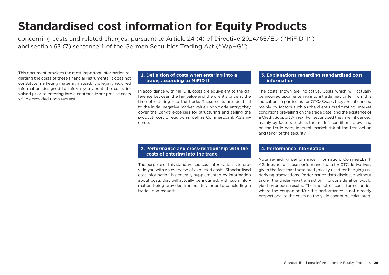# **Standardised cost information for Equity Products**

concerning costs and related charges, pursuant to Article 24 (4) of Directive 2014/65/EU ("MiFID II") and section 63 (7) sentence 1 of the German Securities Trading Act ("WpHG")

This document provides the most important information regarding the costs of these financial instruments. It does not constitute marketing material; instead, it is legally required information designed to inform you about the costs involved prior to entering into a contract. More precise costs will be provided upon request.

# **1. Definition of costs when entering into a trade, according to MiFID II**

In accordance with MiFID II, costs are equivalent to the difference between the fair value and the client's price at the time of entering into the trade. These costs are identical to the initial negative market value upon trade entry; they cover the Bank's expenses for structuring and selling the product, cost of equity, as well as Commerzbank AG's income.

# **3. Explanations regarding standardised cost information**

The costs shown are indicative. Costs which will actually be incurred upon entering into a trade may differ from this indication; in particular, for OTC/Swaps they are influenced mainly by factors such as the client's credit rating, market conditions prevailing on the trade date, and the existence of a Credit Support Annex. For securitised they are influenced mainly by factors such as the market conditions prevailing on the trade date, inherent market risk of the transaction and tenor of the security.

# **2. Performance and cross-relationship with the costs of entering into the trade**

The purpose of this standardised cost information is to provide you with an overview of expected costs. Standardised cost information is generally supplemented by information about costs that will actually be incurred, with such information being provided immediately prior to concluding a trade upon request.

# **4. Performance information**

Note regarding performance information: Commerzbank AG does not disclose performance data for OTC derivatives, given the fact that these are typically used for hedging underlying transactions. Performance data disclosed without taking the underlying transaction into consideration would yield erroneous results. The impact of costs for securities where the coupon and/or the performance is not directly proportional to the costs on the yield cannot be calculated.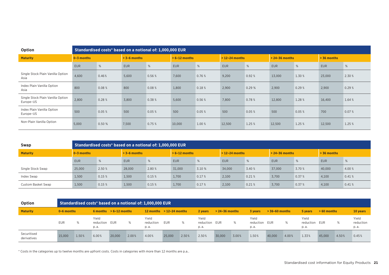| Option                                         |                |        |                | Standardised costs* based on a notional of: 1,000,000 EUR |                 |        |                 |        |                    |        |               |        |
|------------------------------------------------|----------------|--------|----------------|-----------------------------------------------------------|-----------------|--------|-----------------|--------|--------------------|--------|---------------|--------|
| <b>Maturity</b>                                | $0 - 3$ months |        | $> 3-6$ months |                                                           | $> 6-12$ months |        | $>12-24$ months |        | $> 24 - 36$ months |        | $> 36$ months |        |
|                                                | <b>EUR</b>     | %      | <b>EUR</b>     | %                                                         | <b>EUR</b>      | %      | <b>EUR</b>      | %      | <b>EUR</b>         | %      | <b>EUR</b>    | %      |
| Single Stock Plain Vanilla Option<br>Asia      | 4,600          | 0.46%  | 5,600          | 0.56 %                                                    | 7,600           | 0.76 % | 9,200           | 0.92%  | 13,000             | 1.30 % | 23,000        | 2.30 % |
| Index Plain Vanilla Option<br>Asia             | 800            | 0.08%  | 800            | 0.08%                                                     | 1,800           | 0.18%  | 2,900           | 0.29%  | 2,900              | 0.29%  | 2,900         | 0.29%  |
| Single Stock Plain Vanilla Option<br>Europe-US | 2,800          | 0.28%  | 3,800          | 0.38 %                                                    | 5,600           | 0.56%  | 7,800           | 0.78 % | 12,800             | 1.28 % | 16,400        | 1.64 % |
| Index Plain Vanilla Option<br>Europe-US        | 500            | 0.05%  | 500            | 0.05%                                                     | 500             | 0.05%  | 500             | 0.05%  | 500                | 0.05%  | 700           | 0.07%  |
| Non-Plain Vanilla Option                       | 5,000          | 0.50 % | 7,500          | 0.75%                                                     | 10,000          | 1.00 % | 12,500          | 1.25 % | 12,500             | 1.25 % | 12,500        | 1.25 % |

| Swap               |                | Standardised costs* based on a notional of: 1,000,000 EUR |                |        |                 |        |                  |        |                    |        |               |        |
|--------------------|----------------|-----------------------------------------------------------|----------------|--------|-----------------|--------|------------------|--------|--------------------|--------|---------------|--------|
| <b>Maturity</b>    | $0 - 3$ months |                                                           | $> 3-6$ months |        | $> 6-12$ months |        | $>$ 12-24 months |        | $> 24 - 36$ months |        | $> 36$ months |        |
|                    | <b>EUR</b>     | %                                                         | <b>EUR</b>     | %      | <b>EUR</b>      | %      | <b>EUR</b>       | %      | <b>EUR</b>         | %      | <b>EUR</b>    | %      |
| Single Stock Swap  | 25,000         | 2.50 %                                                    | 28,000         | 2.80 % | 31.000          | 3.10 % | 34,000           | 3.40 % | 37.000             | 3.70 % | 40,000        | 4.00 % |
| Index Swap         | 1,500          | 0.15%                                                     | 1,500          | 0.15%  | 1,700           | 0.17%  | 2,100            | 0.21%  | 3,700              | 0.37%  | 4.100         | 0.41%  |
| Custom Basket Swap | 1,500          | 0.15%                                                     | 1,500          | 0.15%  | 1,700           | 0.17%  | 2,100            | 0.21%  | 3,700              | 0.37%  | 4,100         | 0.41%  |

| Option                     |                |       |                            |                          |       | Standardised costs* based on a notional of: 1,000,000 EUR |            |       |                                |                    |       |                            |                  |       |                            |              |       |                            |
|----------------------------|----------------|-------|----------------------------|--------------------------|-------|-----------------------------------------------------------|------------|-------|--------------------------------|--------------------|-------|----------------------------|------------------|-------|----------------------------|--------------|-------|----------------------------|
| <b>Maturity</b>            | $0 - 6$ months |       |                            | 6 months $> 6-12$ months |       | $12$ months $> 12-24$ months                              |            |       | 2 vears                        | $> 24 - 36$ months |       | 3 vears                    | $> 36-60$ months |       | 5 years                    | $>60$ months |       | 10 years                   |
|                            | <b>EUR</b>     | %     | Yield<br>reduction<br>p.a. | EUR                      | %     | Yield<br>reduction<br>p.a.                                | <b>EUR</b> | %     | Yield<br>reduction EUR<br>p.a. |                    | %     | Yield<br>reduction<br>p.a. | EUR              | $\%$  | Yield<br>reduction<br>p.a. | EUR          | $\%$  | Yield<br>reduction<br>p.a. |
| Securitised<br>derivatives | 15,000         | 1.50% | 6.00%                      | 20,000                   | 2.00% | 4.00%                                                     | 25,000     | 2.50% | 2.50%                          | 30,000             | 3.00% | 1.50%                      | 40,000           | 4.00% | 1.33%                      | 45.000       | 4.50% | 0.45%                      |

\* Costs in the categories up to twelve months are upfront costs. Costs in categories with more than 12 months are p.a..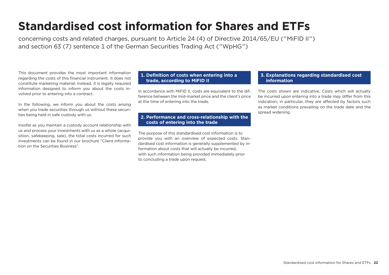# **Standardised cost information for Shares and ETFs**

concerning costs and related charges, pursuant to Article 24 (4) of Directive 2014/65/EU ("MiFID II") and section 63 (7) sentence 1 of the German Securities Trading Act ("WpHG")

This document provides the most important information regarding the costs of this financial instrument. It does not constitute marketing material; instead, it is legally required information designed to inform you about the costs involved prior to entering into a contract.

In the following, we inform you about the costs arising when you trade securities through us without these securities being held in safe custody with us.

Insofar as you maintain a custody account relationship with us and process your investments with us as a whole (acquisition, safekeeping, sale), the total costs incurred for such investments can be found in our brochure "Client Information on the Securities Business".

# **1. Definition of costs when entering into a trade, according to MiFID II**

In accordance with MiFID II, costs are equivalent to the difference between the mid-market price and the client's price at the time of entering into the trade.

# **2. Performance and cross-relationship with the costs of entering into the trade**

The purpose of this standardised cost information is to provide you with an overview of expected costs. Standardised cost information is generally supplemented by information about costs that will actually be incurred, with such information being provided immediately prior to concluding a trade upon request.

# **3. Explanations regarding standardised cost information**

The costs shown are indicative. Costs which will actually be incurred upon entering into a trade may differ from this indication; in particular, they are affected by factors such as market conditions prevailing on the trade date and the spread widening.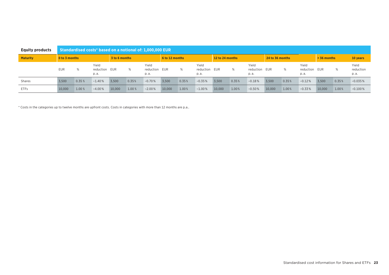| <b>Equity products</b> |               | Standardised costs* based on a notional of: 1,000,000 EUR |                            |               |       |                            |                |       |                             |                 |       |                            |                 |       |                             |               |       |                             |
|------------------------|---------------|-----------------------------------------------------------|----------------------------|---------------|-------|----------------------------|----------------|-------|-----------------------------|-----------------|-------|----------------------------|-----------------|-------|-----------------------------|---------------|-------|-----------------------------|
| <b>Maturity</b>        | 0 to 3 months |                                                           |                            | 3 to 6 months |       |                            | 6 to 12 months |       |                             | 12 to 24 months |       |                            | 24 to 36 months |       |                             | $> 36$ months |       | 10 years                    |
|                        | <b>EUR</b>    |                                                           | Yield<br>reduction<br>p.a. | EUR           | %     | Yield<br>reduction<br>p.a. | EUR            | %     | Yield<br>reduction<br>p. a. | EUR             | %     | Yield<br>reduction<br>p.a. | EUR             | %     | Yield<br>reduction<br>p. a. | EUR           | %     | Yield<br>reduction<br>p. a. |
| Shares                 | 3.500         | 0.35%                                                     | $-1.40%$                   | 3.500         | 0.35% | $-0.70%$                   | 3.500          | 0.35% | $-0.35%$                    | 3,500           | 0.35% | $-0.18%$                   | 3.500           | 0.35% | $-0.12%$                    | 3,500         | 0.35% | $-0.035%$                   |
| <b>ETFs</b>            | 10,000        | 1.00%                                                     | $-4.00%$                   | 10,000        | 1.00% | $-2.00%$                   | 10.000         | 1.00% | $-1.00%$                    | 10,000          | 1.00% | $-0.50%$                   | 10.000          | 1.00% | $-0.33%$                    | 10,000        | 1.00% | $-0.100%$                   |

\* Costs in the categories up to twelve months are upfront costs. Costs in categories with more than 12 months are p.a..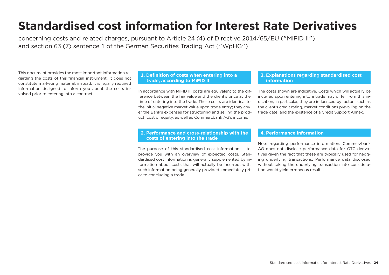# **Standardised cost information for Interest Rate Derivatives**

concerning costs and related charges, pursuant to Article 24 (4) of Directive 2014/65/EU ("MiFID II") and section 63 (7) sentence 1 of the German Securities Trading Act ("WpHG")

This document provides the most important information regarding the costs of this financial instrument. It does not constitute marketing material; instead, it is legally required information designed to inform you about the costs involved prior to entering into a contract.

# **1. Definition of costs when entering into a trade, according to MiFID II**

In accordance with MiFID II, costs are equivalent to the difference between the fair value and the client's price at the time of entering into the trade. These costs are identical to the initial negative market value upon trade entry; they cover the Bank's expenses for structuring and selling the product, cost of equity, as well as Commerzbank AG's income.

# **2. Performance and cross-relationship with the costs of entering into the trade**

The purpose of this standardised cost information is to provide you with an overview of expected costs. Standardised cost information is generally supplemented by information about costs that will actually be incurred, with such information being generally provided immediately prior to concluding a trade.

# **3. Explanations regarding standardised cost information**

The costs shown are indicative. Costs which will actually be incurred upon entering into a trade may differ from this indication; in particular, they are influenced by factors such as the client's credit rating, market conditions prevailing on the trade date, and the existence of a Credit Support Annex.

# **4. Performance information**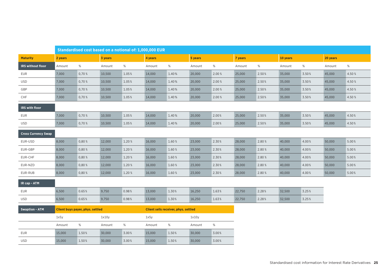|                            |         | Standardised cost based on a notional of: 1,000,000 EUR |         |        |         |                                      |         |        |         |        |          |       |          |       |
|----------------------------|---------|---------------------------------------------------------|---------|--------|---------|--------------------------------------|---------|--------|---------|--------|----------|-------|----------|-------|
| <b>Maturity</b>            | 2 years |                                                         | 3 years |        | 4 years |                                      | 5 years |        | 7 years |        | 10 years |       | 20 years |       |
| IRS without floor          | Amount  | $\%$                                                    | Amount  | $\%$   | Amount  | %                                    | Amount  | %      | Amount  | $\%$   | Amount   | $\%$  | Amount   | $\%$  |
| <b>EUR</b>                 | 7,000   | 0,70 %                                                  | 10,500  | 1.05%  | 14,000  | 1.40%                                | 20,000  | 2.00 % | 25,000  | 2.50%  | 35,000   | 3.50% | 45,000   | 4.50% |
| <b>USD</b>                 | 7,000   | 0,70%                                                   | 10,500  | 1.05%  | 14,000  | 1.40%                                | 20,000  | 2.00 % | 25,000  | 2.50%  | 35,000   | 3.50% | 45,000   | 4.50% |
| GBP                        | 7,000   | 0,70%                                                   | 10,500  | 1.05%  | 14,000  | 1.40%                                | 20,000  | 2.00 % | 25,000  | 2.50%  | 35,000   | 3.50% | 45,000   | 4.50% |
| CHF                        | 7,000   | 0,70%                                                   | 10,500  | 1.05%  | 14,000  | 1.40%                                | 20,000  | 2.00 % | 25,000  | 2.50%  | 35,000   | 3.50% | 45,000   | 4.50% |
| IRS with floor             |         |                                                         |         |        |         |                                      |         |        |         |        |          |       |          |       |
| <b>EUR</b>                 | 7,000   | 0,70%                                                   | 10,500  | 1.05%  | 14,000  | 1.40%                                | 20,000  | 2.00%  | 25,000  | 2.50%  | 35,000   | 3.50% | 45,000   | 4.50% |
| <b>USD</b>                 | 7,000   | 0,70 %                                                  | 10,500  | 1.05%  | 14,000  | 1.40%                                | 20,000  | 2.00%  | 25,000  | 2.50%  | 35,000   | 3.50% | 45,000   | 4.50% |
| <b>Cross Currency Swap</b> |         |                                                         |         |        |         |                                      |         |        |         |        |          |       |          |       |
| EUR-USD                    | 8,000   | 0,80%                                                   | 12,000  | 1.20 % | 16,000  | 1.60%                                | 23,000  | 2.30%  | 28,000  | 2.80%  | 40,000   | 4.00% | 50,000   | 5.00% |
| EUR-GBP                    | 8,000   | 0,80%                                                   | 12,000  | 1.20%  | 16,000  | 1.60%                                | 23,000  | 2.30%  | 28,000  | 2.80%  | 40,000   | 4.00% | 50,000   | 5.00% |
| EUR-CHF                    | 8,000   | 0,80%                                                   | 12,000  | 1.20%  | 16,000  | 1.60%                                | 23,000  | 2.30%  | 28,000  | 2.80%  | 40,000   | 4.00% | 50,000   | 5.00% |
| EUR-NZD                    | 8,000   | 0,80%                                                   | 12,000  | 1.20%  | 16,000  | 1.60%                                | 23,000  | 2.30%  | 28,000  | 2.80%  | 40,000   | 4.00% | 50,000   | 5.00% |
| EUR-RUB                    | 8,000   | 0,80%                                                   | 12,000  | 1.20%  | 16,000  | 1.60%                                | 23,000  | 2.30%  | 28,000  | 2.80 % | 40,000   | 4.00% | 50,000   | 5.00% |
| IR cap - ATM               |         |                                                         |         |        |         |                                      |         |        |         |        |          |       |          |       |
| <b>EUR</b>                 | 6,500   | 0.65%                                                   | 9,750   | 0.98%  | 13,000  | 1.30%                                | 16,250  | 1.63%  | 22,750  | 2.28%  | 32,500   | 3.25% |          |       |
| <b>USD</b>                 | 6,500   | 0.65%                                                   | 9,750   | 0.98%  | 13,000  | 1.30%                                | 16,250  | 1.63%  | 22,750  | 2.28%  | 32,500   | 3.25% |          |       |
| <b>Swaption - ATM</b>      |         | Client buys payer, phys. settled                        |         |        |         | Client sells receiver, phys. settled |         |        |         |        |          |       |          |       |
|                            | 1x5y    |                                                         | 1x10y   |        | 1x5y    |                                      | 1x10y   |        |         |        |          |       |          |       |
|                            | Amount  | %                                                       | Amount  | $\%$   | Amount  | %                                    | Amount  | $\%$   |         |        |          |       |          |       |
| EUR                        | 15,000  | 1.50%                                                   | 30,000  | 3.00%  | 15,000  | 1.50%                                | 30,000  | 3.00%  |         |        |          |       |          |       |
| <b>USD</b>                 | 15,000  | 1.50%                                                   | 30,000  | 3.00%  | 15,000  | 1.50%                                | 30,000  | 3.00%  |         |        |          |       |          |       |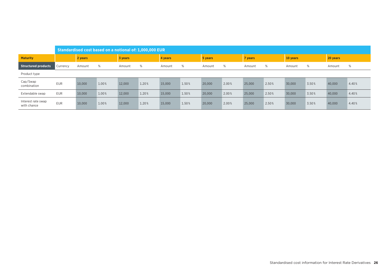|                                   |            |         | Standardised cost based on a notional of: 1,000,000 EUR |         |       |         |       |         |       |         |       |          |       |          |       |
|-----------------------------------|------------|---------|---------------------------------------------------------|---------|-------|---------|-------|---------|-------|---------|-------|----------|-------|----------|-------|
| <b>Maturity</b>                   |            | 2 years |                                                         | 3 years |       | 4 years |       | 5 years |       | 7 years |       | 10 years |       | 20 years |       |
| Structured products               | Currency   | Amount  | %                                                       | Amount  | %     | Amount  | %     | Amount  | %     | Amount  | %     | Amount   | %     | Amount   | %     |
| Product type                      |            |         |                                                         |         |       |         |       |         |       |         |       |          |       |          |       |
| Cap/Swap<br>combination           | <b>EUR</b> | 10,000  | 1.00%                                                   | 12,000  | 1.20% | 15,000  | 1.50% | 20,000  | 2.00% | 25,000  | 2.50% | 30,000   | 3.50% | 40,000   | 4.40% |
| Extendable swap                   | <b>EUR</b> | 10,000  | 1.00%                                                   | 12,000  | 1.20% | 15,000  | 1.50% | 20,000  | 2.00% | 25,000  | 2.50% | 30,000   | 3.50% | 40,000   | 4.40% |
| Interest rate swap<br>with chance | <b>EUR</b> | 10,000  | 1.00%                                                   | 12,000  | 1.20% | 15,000  | 1.50% | 20,000  | 2.00% | 25,000  | 2.50% | 30,000   | 3.50% | 40,000   | 4.40% |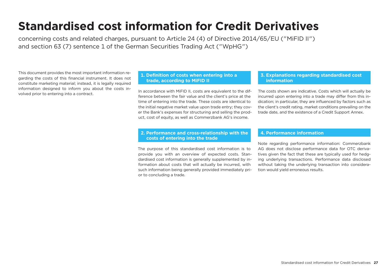# **Standardised cost information for Credit Derivatives**

concerning costs and related charges, pursuant to Article 24 (4) of Directive 2014/65/EU ("MiFID II") and section 63 (7) sentence 1 of the German Securities Trading Act ("WpHG")

This document provides the most important information regarding the costs of this financial instrument. It does not constitute marketing material; instead, it is legally required information designed to inform you about the costs involved prior to entering into a contract.

# **1. Definition of costs when entering into a trade, according to MiFID II**

In accordance with MiFID II, costs are equivalent to the difference between the fair value and the client's price at the time of entering into the trade. These costs are identical to the initial negative market value upon trade entry; they cover the Bank's expenses for structuring and selling the product, cost of equity, as well as Commerzbank AG's income.

# **2. Performance and cross-relationship with the costs of entering into the trade**

The purpose of this standardised cost information is to provide you with an overview of expected costs. Standardised cost information is generally supplemented by information about costs that will actually be incurred, with such information being generally provided immediately prior to concluding a trade.

# **3. Explanations regarding standardised cost information**

The costs shown are indicative. Costs which will actually be incurred upon entering into a trade may differ from this indication; in particular, they are influenced by factors such as the client's credit rating, market conditions prevailing on the trade date, and the existence of a Credit Support Annex.

# **4. Performance information**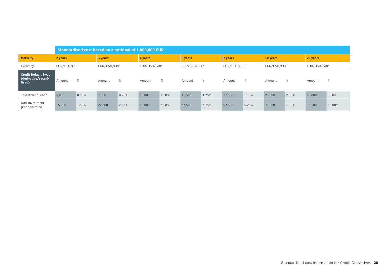|                                                             |             |       |             |       | Standardised cost based on a notional of 1,000,000 EUR |       |             |       |             |       |             |       |             |        |
|-------------------------------------------------------------|-------------|-------|-------------|-------|--------------------------------------------------------|-------|-------------|-------|-------------|-------|-------------|-------|-------------|--------|
| <b>Maturity</b>                                             | 2 years     |       | 3 years     |       | 4 years                                                |       | 5 years     |       | 7 years     |       | 10 years    |       | 20 years    |        |
| Currency                                                    | EUR/USD/GBP |       | EUR/USD/GBP |       | EUR/USD/GBP                                            |       | EUR/USD/GBP |       | EUR/USD/GBP |       | EUR/USD/GBP |       | EUR/USD/GBP |        |
| <b>Credit Default Swap</b><br>(derivative/securi-<br>tised) | Amount      | $\%$  | Amount      | %     | Amount                                                 | %     | Amount      | %     | Amount      | $\%$  | Amount      | %     | Amount      | %      |
| Investment Grade                                            | 5.000       | 0.50% | 7.500       | 0.75% | 10.000                                                 | 1.00% | 12.500      | 1.25% | 17,500      | 1.75% | 25,000      | 2.50% | 50,000      | 5.00%  |
| Non-Investment<br>grade/unrated                             | 15,000      | 1.50% | 22,500      | 2.25% | 30,000                                                 | 3.00% | 37,500      | 3.75% | 52,500      | 5.25% | 75,000      | 7.50% | 150,000     | 15.00% |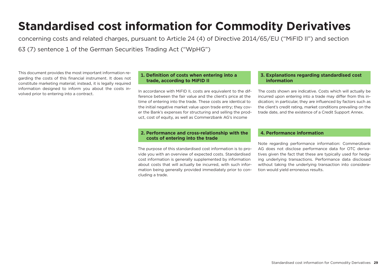# **Standardised cost information for Commodity Derivatives**

concerning costs and related charges, pursuant to Article 24 (4) of Directive 2014/65/EU ("MiFID II") and section 63 (7) sentence 1 of the German Securities Trading Act ("WpHG")

This document provides the most important information regarding the costs of this financial instrument. It does not constitute marketing material; instead, it is legally required information designed to inform you about the costs involved prior to entering into a contract.

# **1. Definition of costs when entering into a trade, according to MiFID II**

In accordance with MiFID II, costs are equivalent to the difference between the fair value and the client's price at the time of entering into the trade. These costs are identical to the initial negative market value upon trade entry; they cover the Bank's expenses for structuring and selling the product, cost of equity, as well as Commerzbank AG's income

# **2. Performance and cross-relationship with the costs of entering into the trade**

The purpose of this standardised cost information is to provide you with an overview of expected costs. Standardised cost information is generally supplemented by information about costs that will actually be incurred, with such information being generally provided immediately prior to concluding a trade.

# **3. Explanations regarding standardised cost information**

The costs shown are indicative. Costs which will actually be incurred upon entering into a trade may differ from this indication; in particular, they are influenced by factors such as the client's credit rating, market conditions prevailing on the trade date, and the existence of a Credit Support Annex.

# **4. Performance information**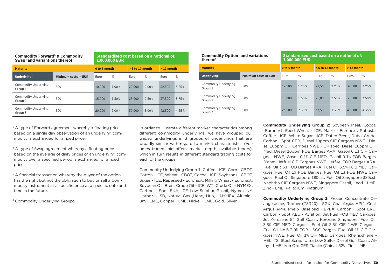| <b>Commodity Forward</b> & Commodity<br>Swap <sup>2</sup> and variantions thereof |                             |              | Standardised cost based on a notional of:<br>1,000,000 EUR |                   |       |             |       |
|-----------------------------------------------------------------------------------|-----------------------------|--------------|------------------------------------------------------------|-------------------|-------|-------------|-------|
| <b>Maturity</b>                                                                   |                             | 0 to 6 month |                                                            | $> 6$ to 12 month |       | $>12$ month |       |
| Underlying <sup>4</sup>                                                           | <b>Minimum costs in EUR</b> | Euro         | %                                                          | Euro              | %     | Euro        | %     |
| Commodity Underlying<br>Group 1                                                   | 500                         | 10.000       | 1.00 %                                                     | 20,000            | 2.00% | 32.500      | 3.25% |
| Commodity Underlying<br>Group 2                                                   | 500                         | 15.000       | 1.50%                                                      | 25,000            | 2.50% | 37.500      | 3.75% |
| Commodity Underlying<br>Group 3                                                   | 500                         | 20,000       | 2.00%                                                      | 30.000            | 3.00% | 42.500      | 4.25% |

| Commodity Option <sup>3</sup> and variations<br>thereof |                             |              | Standardised cost based on a notional of:<br>1,000,000 EUR |                   |        |             |       |
|---------------------------------------------------------|-----------------------------|--------------|------------------------------------------------------------|-------------------|--------|-------------|-------|
| <b>Maturity</b>                                         |                             | 0 to 6 month |                                                            | $> 6$ to 12 month |        | $>12$ month |       |
| Underlying <sup>4</sup>                                 | <b>Minimum costs in EUR</b> | Euro         | %                                                          | Euro              | %      | Euro        | %     |
| Commodity Underlying<br>Group 1                         | 500                         | 12.500       | 1.25%                                                      | 22.500            | 2.25%  | 32.500      | 3.25% |
| Commodity Underlying<br>Group 2                         | 500                         | 15.000       | 1.50%                                                      | 25,000            | 2.50%  | 35,000      | 3.50% |
| Commodity Underlying<br>Group 3                         | 500                         | 23.500       | 2.35 %                                                     | 33.500            | 3.35 % | 43.500      | 4.35% |

 $1$  A type of Forward agreement whereby a floating price based on a single day observation of an underlying commodity is exchanged for a fixed price.

<sup>2</sup> A type of Swap agreement whereby a floating price based on the average of daily prices of an underlying commodity over a specified period is exchanged for a fixed price.

 $3$  A financial transaction whereby the buyer of the option has the right but not the obligation to buy or sell a Commodity instrument at a specific price at a specific date and time in the future.

⁴ Commodity Underlying Groups

In order to illustrate different market characteritics among different commodity underlyings, we have grouped our traded underlyings in 3 groups of underlyings that are broadly similar with regard to market characteristics (volumes traded, bid offers, market depth, available tenors), which in turn results in different standard trading costs for each of the groups.

Commodity Underlying Group 1: Coffee - ICE, Corn - CBOT, Cotton - ICE, Wheat - CBOT, Cocoa - ICE, Soybeans - CBOT, Sugar - ICE, Rapeseed - Euronext, Milling Wheat - Euronext, Soybean Oil, Brent Crude Oil - ICE, WTI Crude Oil - NYMEX, Carbon - Spot EUA, ICE Low Sulphur Gasoil, Nymex NY Harbor ULSD, Natural Gas (Henry Hub) - NYMEX, Aluminium - LME, Copper - LME, Nickel - LME, Gold, Silver

**Commodity Underlying Group 2:** Soybean Meal, Cocoa - Euronext, Feed Wheat - ICE, Maize - Euronext, Robusta Coffee - ICE, White Sugar - ICE, Dated Brent, Dubai Crude, Carbon - Spot CER, Diesel 10ppm CIF Cargoes NWE , Diesel 10ppm CIF Cargoes NWE - UK spec, Diesel 10ppm CIF Med, Diesel 10ppm FOB Barges ARA, Gasoil 0.1% CIF Cargoes NWE, Gasoil 0.1% CIF MED, Gasoil 0.1% FOB Barges R'dam, Jetfuel CIF Cargoes NWE, Jetfuel FOB Barges ARA, Fuel Oil 3.5% FOB Barges ARA, Fuel Oil 3.5% FOB MED Cargoes, Fuel Oil 1% FOB Barges, Fuel Oil 1% FOB NWE Cargoes, Fuel Oil Singapore 180cst, Fuel Oil Singapore 380cst, Naphtha CIF Cargoes NWE, Singapore Gasoil, Lead - LME, Zinc - LME, Palladium, Platinum

**Commodity Underlying Group 3:** Frozen Concentrate Orange Juice, Rubber (TSR20) - SGX, Coal Argus API2, Coal Argus API4, Phelix Baseload - EPEX, Carbon - Spot ERU, Carbon - Spot AEU - Aviation, Jet Fuel FOB MED Cargoes, Jet Kerosene 54 Gulf Coast, Kerosine Singapore, Fuel Oil 3.5% CIF MED Cargoes, Fuel Oil 3.5% CIF NWE Cargoes, Fuel Oil No.6 3.0% FOB USGC Barges, Fuel Oil 1% CIF Cargoes NWE, Fuel Oil 1% CIF MED Cargoes, Rheinschiene -HEL, TSI Steel Scrap, Ultra Low Sulfur Diesel Gulf Coast, Alloy - LME, Iron Ore CFR Tianjin (China) 62%, Tin - LME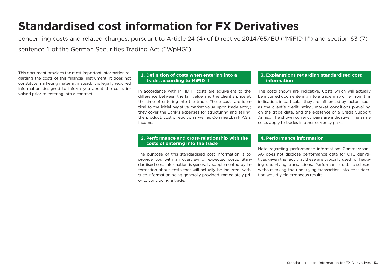# **Standardised cost information for FX Derivatives**

concerning costs and related charges, pursuant to Article 24 (4) of Directive 2014/65/EU ("MiFID II") and section 63 (7) sentence 1 of the German Securities Trading Act ("WpHG")

This document provides the most important information regarding the costs of this financial instrument. It does not constitute marketing material; instead, it is legally required information designed to inform you about the costs involved prior to entering into a contract.

# **1. Definition of costs when entering into a trade, according to MiFID II**

In accordance with MiFID II, costs are equivalent to the difference between the fair value and the client's price at the time of entering into the trade. These costs are identical to the initial negative market value upon trade entry; they cover the Bank's expenses for structuring and selling the product, cost of equity, as well as Commerzbank AG's income.

# **2. Performance and cross-relationship with the costs of entering into the trade**

The purpose of this standardised cost information is to provide you with an overview of expected costs. Standardised cost information is generally supplemented by information about costs that will actually be incurred, with such information being generally provided immediately prior to concluding a trade.

# **3. Explanations regarding standardised cost information**

The costs shown are indicative. Costs which will actually be incurred upon entering into a trade may differ from this indication; in particular, they are influenced by factors such as the client's credit rating, market conditions prevailing on the trade date, and the existence of a Credit Support Annex. The shown currency pairs are indicative. The same costs apply to trades in other currency pairs.

# **4. Performance information**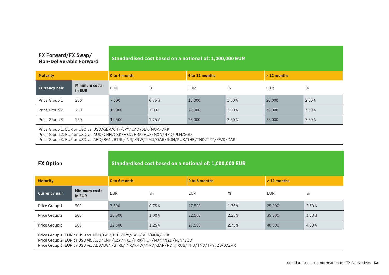| FX Forward/FX Swap/<br><b>Non-Deliverable Forward</b> |                                | Standardised cost based on a notional of: 1,000,000 EUR |        |                |       |              |       |  |  |
|-------------------------------------------------------|--------------------------------|---------------------------------------------------------|--------|----------------|-------|--------------|-------|--|--|
| <b>Maturity</b>                                       |                                | 0 to 6 month                                            |        | 6 to 12 months |       | $>12$ months |       |  |  |
| <b>Currency pair</b>                                  | <b>Minimum costs</b><br>in EUR | <b>EUR</b>                                              | %      | <b>EUR</b>     | %     | <b>EUR</b>   | %     |  |  |
| Price Group 1                                         | 250                            | 7,500                                                   | 0.75%  | 15,000         | 1.50% | 20,000       | 2.00% |  |  |
| Price Group 2                                         | 250                            | 10,000                                                  | 1.00%  | 20,000         | 2.00% | 30,000       | 3.00% |  |  |
| Price Group 3                                         | 250                            | 12,500                                                  | 1.25 % | 25,000         | 2.50% | 35,000       | 3.50% |  |  |

Price Group 1: EUR or USD vs. USD/GBP/CHF/JPY/CAD/SEK/NOK/DKK

Price Group 2: EUR or USD vs. AUD/CNH/CZK/HKD/HRK/HUF/MXN/NZD/PLN/SGD

Price Group 3: EUR or USD vs. AED/BGN/BTRL/INR/KRW/MAD/QAR/RON/RUB/THB/TND/TRY/ZWD/ZAR

| <b>FX Option</b>     |                                | Standardised cost based on a notional of: 1,000,000 EUR |       |               |       |              |        |  |  |  |
|----------------------|--------------------------------|---------------------------------------------------------|-------|---------------|-------|--------------|--------|--|--|--|
| <b>Maturity</b>      |                                | 0 to 6 month                                            |       | 0 to 6 months |       | $>12$ months |        |  |  |  |
| <b>Currency pair</b> | <b>Minimum costs</b><br>in EUR | <b>EUR</b>                                              | %     | <b>EUR</b>    | %     | <b>EUR</b>   | %      |  |  |  |
| Price Group 1        | 500                            | 7,500                                                   | 0.75% | 17,500        | 1.75% | 25,000       | 2.50%  |  |  |  |
| Price Group 2        | 500                            | 10,000                                                  | 1.00% | 22,500        | 2.25% | 35,000       | 3.50 % |  |  |  |
| Price Group 3        | 500                            | 12,500                                                  | 1.25% | 27,500        | 2.75% | 40,000       | 4.00%  |  |  |  |

Price Group 1: EUR or USD vs. USD/GBP/CHF/JPY/CAD/SEK/NOK/DKK

Price Group 2: EUR or USD vs. AUD/CNH/CZK/HKD/HRK/HUF/MXN/NZD/PLN/SGD

Price Group 3: EUR or USD vs. AED/BGN/BTRL/INR/KRW/MAD/QAR/RON/RUB/THB/TND/TRY/ZWD/ZAR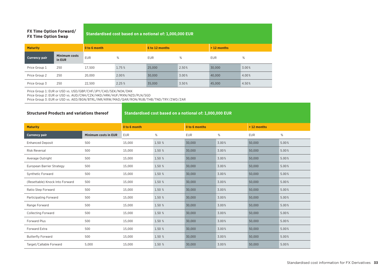# **FX Ti**

| <b>FX Time Option Forward/</b><br><b>FX Time Option Swap</b> |                                | Standardised cost based on a notional of: 1,000,000 EUR |        |                |       |              |       |  |  |  |
|--------------------------------------------------------------|--------------------------------|---------------------------------------------------------|--------|----------------|-------|--------------|-------|--|--|--|
| <b>Maturity</b>                                              |                                | 0 to 6 month                                            |        | 6 to 12 months |       | $>12$ months |       |  |  |  |
| <b>Currency pair</b>                                         | <b>Minimum costs</b><br>in EUR | <b>EUR</b>                                              | %      | <b>EUR</b>     | %     | <b>EUR</b>   | %     |  |  |  |
| Price Group 1                                                | 250                            | 17.500                                                  | 1.75 % | 25,000         | 2.50% | 30,000       | 3.00% |  |  |  |
| Price Group 2                                                | 250                            | 20,000                                                  | 2.00%  | 30,000         | 3.00% | 40,000       | 4.00% |  |  |  |
| Price Group 3                                                | 250                            | 22.500                                                  | 2.25%  | 35,000         | 3.50% | 45,000       | 4.50% |  |  |  |

Price Group 1: EUR or USD vs. USD/GBP/CHF/JPY/CAD/SEK/NOK/DKK

Price Group 2: EUR or USD vs. AUD/CNH/CZK/HKD/HRK/HUF/MXN/NZD/PLN/SGD

Price Group 3: EUR or USD vs. AED/BGN/BTRL/INR/KRW/MAD/QAR/RON/RUB/THB/TND/TRY/ZWD/ZAR

# **Structured Products and variations thereof Standardised cost based on a notional of: 1,000,000 EUR**

| <b>Maturity</b>                 | 0 to 6 month         |            | 0 to 6 months |            | $> 12$ months |            |       |
|---------------------------------|----------------------|------------|---------------|------------|---------------|------------|-------|
| <b>Currency pair</b>            | Minimum costs in EUR | <b>EUR</b> | %             | <b>EUR</b> | %             | <b>EUR</b> | %     |
| <b>Enhanced Deposit</b>         | 500                  | 15,000     | 1.50 %        | 30,000     | 3.00%         | 50,000     | 5.00% |
| <b>Risk Reversal</b>            | 500                  | 15,000     | 1.50 %        | 30,000     | 3.00%         | 50,000     | 5.00% |
| Average Outright                | 500                  | 15,000     | 1.50 %        | 30,000     | 3.00%         | 50,000     | 5.00% |
| European Barrier Strategy       | 500                  | 15,000     | 1.50 %        | 30,000     | 3.00%         | 50,000     | 5.00% |
| <b>Synthetic Forward</b>        | 500                  | 15,000     | 1.50 %        | 30,000     | 3.00%         | 50,000     | 5.00% |
| (Resettable) Knock Into Forward | 500                  | 15,000     | 1.50 %        | 30,000     | 3.00%         | 50,000     | 5.00% |
| Ratio Step Forward              | 500                  | 15,000     | 1.50 %        | 30,000     | 3.00%         | 50,000     | 5.00% |
| Participating Forward           | 500                  | 15,000     | 1.50 %        | 30,000     | 3.00%         | 50,000     | 5.00% |
| Range Forward                   | 500                  | 15,000     | 1.50 %        | 30,000     | 3.00%         | 50,000     | 5.00% |
| <b>Collecting Forward</b>       | 500                  | 15,000     | 1.50 %        | 30,000     | 3.00%         | 50,000     | 5.00% |
| <b>Forward Plus</b>             | 500                  | 15,000     | 1.50 %        | 30,000     | 3.00%         | 50,000     | 5.00% |
| Forward Extra                   | 500                  | 15,000     | 1.50 %        | 30,000     | 3.00%         | 50,000     | 5.00% |
| <b>Butterfly Forward</b>        | 500                  | 15,000     | 1.50 %        | 30,000     | 3.00%         | 50,000     | 5.00% |
| Target/Callable Forward         | 5,000                | 15,000     | 1.50 %        | 30,000     | 3.00%         | 50.000     | 5.00% |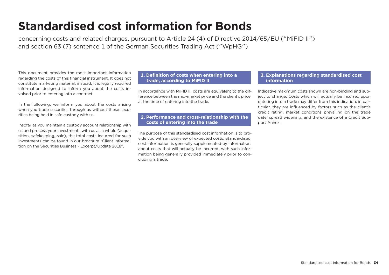# **Standardised cost information for Bonds**

concerning costs and related charges, pursuant to Article 24 (4) of Directive 2014/65/EU ("MiFID II") and section 63 (7) sentence 1 of the German Securities Trading Act ("WpHG")

This document provides the most important information regarding the costs of this financial instrument. It does not constitute marketing material; instead, it is legally required information designed to inform you about the costs involved prior to entering into a contract.

In the following, we inform you about the costs arising when you trade securities through us without these securities being held in safe custody with us.

Insofar as you maintain a custody account relationship with us and process your investments with us as a whole (acquisition, safekeeping, sale), the total costs incurred for such investments can be found in our brochure "Client Information on the Securities Business - Excerpt/update 2018".

# **1. Definition of costs when entering into a trade, according to MiFID II**

In accordance with MiFID II, costs are equivalent to the difference between the mid-market price and the client's price at the time of entering into the trade.

# **2. Performance and cross-relationship with the costs of entering into the trade**

The purpose of this standardised cost information is to provide you with an overview of expected costs. Standardised cost information is generally supplemented by information about costs that will actually be incurred, with such information being generally provided immediately prior to concluding a trade.

# **3. Explanations regarding standardised cost information**

Indicative maximum costs shown are non-binding and subject to change. Costs which will actually be incurred upon entering into a trade may differ from this indication; in particular, they are influenced by factors such as the client's credit rating, market conditions prevailing on the trade date, spread widening, and the existence of a Credit Support Annex.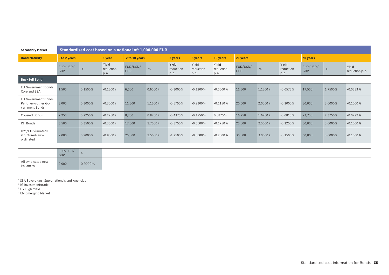| <b>Secondary Market</b>                                                    | Standardised cost based on a notional of: 1,000,000 EUR |         |                            |                 |         |                            |                            |                            |                 |         |                            |                        |         |                         |
|----------------------------------------------------------------------------|---------------------------------------------------------|---------|----------------------------|-----------------|---------|----------------------------|----------------------------|----------------------------|-----------------|---------|----------------------------|------------------------|---------|-------------------------|
| <b>Bond Maturity</b>                                                       | 0 to 2 years                                            |         | 1 year                     | 2 to 10 years   |         | 2 years                    | 5 years                    | 10 years                   | 20 years        |         |                            | 30 years               |         |                         |
|                                                                            | EUR/USD/<br><b>GBP</b>                                  | %       | Yield<br>reduction<br>p.a. | EUR/USD/<br>GBP | $\%$    | Yield<br>reduction<br>p.a. | Yield<br>reduction<br>p.a. | Yield<br>reduction<br>p.a. | EUR/USD/<br>GBP | %       | Yield<br>reduction<br>p.a. | EUR/USD/<br><b>GBP</b> | %       | Yield<br>reduction p.a. |
| <b>Buy/Sell Bond</b>                                                       |                                                         |         |                            |                 |         |                            |                            |                            |                 |         |                            |                        |         |                         |
| <b>EU Government Bonds</b><br>Core and SSA <sup>1</sup>                    | 1,500                                                   | 0.1500% | $-0.1500%$                 | 6,000           | 0.6000% | $-0.3000%$                 | $-0.1200%$                 | $-0.0600%$                 | 11,500          | 1.1500% | $-0.0575%$                 | 17,500                 | 1.7500% | $-0.0583%$              |
| <b>EU Government Bonds</b><br>Periphery/other Go-<br>vernment Bonds        | 3,000                                                   | 0.3000% | $-0.3000%$                 | 11,500          | 1.1500% | $-0.5750%$                 | $-0.2300%$                 | $-0.1150%$                 | 20,000          | 2.0000% | $-0.1000\%$                | 30,000                 | 3.0000% | $-0.1000\%$             |
| <b>Covered Bonds</b>                                                       | 2,250                                                   | 0.2250% | $-0.2250%$                 | 8,750           | 0.8750% | $-0.4375%$                 | $-0.1750%$                 | 0.0875%                    | 16,250          | 1.6250% | $-0.0813%$                 | 23,750                 | 2.3750% | $-0.0792%$              |
| IG <sup>2</sup> Bonds                                                      | 3,500                                                   | 0.3500% | $-0.3500%$                 | 17,500          | 1.7500% | $-0.8750%$                 | $-0.3500%$                 | $-0.1750%$                 | 25,000          | 2.5000% | $-0.1250%$                 | 30,000                 | 3.0000% | $-0.1000\,\%$           |
| HY <sup>3</sup> /EM <sup>4</sup> /unrated/<br>structured/sub-<br>ordinated | 9,000                                                   | 0.9000% | $-0.9000%$                 | 25,000          | 2.5000% | $-1.2500%$                 | $-0.5000%$                 | $-0.2500%$                 | 30,000          | 3.0000% | $-0.1500%$                 | 30,000                 | 3.0000% | $-0.1000\%$             |
|                                                                            |                                                         |         |                            |                 |         |                            |                            |                            |                 |         |                            |                        |         |                         |
|                                                                            | EUR/USD/<br>GBP                                         |         |                            |                 |         |                            |                            |                            |                 |         |                            |                        |         |                         |
| All something the change of                                                |                                                         |         |                            |                 |         |                            |                            |                            |                 |         |                            |                        |         |                         |

All syndicated new All syndicated new<br>
2,000 0.2000 %

1 SSA Sovereigns, Supranationals and Agencies

2 IG Investmentgrade

<sup>3</sup> HY High Yield

4 EM Emerging Market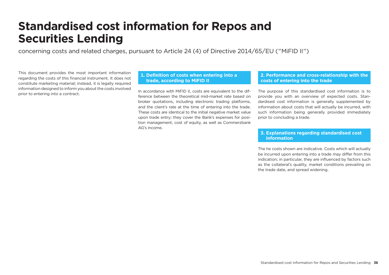# **Standardised cost information for Repos and Securities Lending**

concerning costs and related charges, pursuant to Article 24 (4) of Directive 2014/65/EU ("MiFID II")

This document provides the most important information regarding the costs of this financial instrument. It does not constitute marketing material; instead, it is legally required information designed to inform you about the costs involved prior to entering into a contract.

# **1. Definition of costs when entering into a trade, according to MiFID II**

In accordance with MiFID II, costs are equivalent to the difference between the theoretical mid-market rate based on broker quotations, including electronic trading platforms, and the client's rate at the time of entering into the trade. These costs are identical to the initial negative market value upon trade entry; they cover the Bank's expenses for position management, cost of equity, as well as Commerzbank AG's income.

# **2. Performance and cross-relationship with the costs of entering into the trade**

The purpose of this standardised cost information is to provide you with an overview of expected costs. Standardised cost information is generally supplemented by information about costs that will actually be incurred, with such information being generally provided immediately prior to concluding a trade.

# **3. Explanations regarding standardised cost information**

The he costs shown are indicative. Costs which will actually be incurred upon entering into a trade may differ from this indication; in particular, they are influenced by factors such as the collateral's quality, market conditions prevailing on the trade date, and spread widening.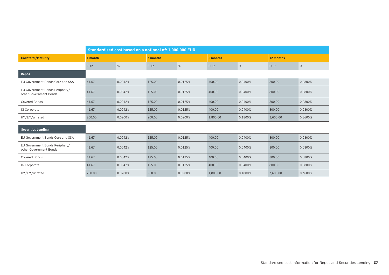|                                                          | Standardised cost based on a notional of: 1,000,000 EUR |         |            |         |            |          |            |         |
|----------------------------------------------------------|---------------------------------------------------------|---------|------------|---------|------------|----------|------------|---------|
| <b>Collateral/Maturity</b>                               | 1 month                                                 |         | 3 months   |         |            | 6 months |            |         |
|                                                          | <b>EUR</b>                                              | %       | <b>EUR</b> | %       | <b>EUR</b> | $\%$     | <b>EUR</b> | %       |
| <b>Repos</b>                                             |                                                         |         |            |         |            |          |            |         |
| EU Government Bonds Core and SSA                         | 41.67                                                   | 0.0042% | 125.00     | 0.0125% | 400.00     | 0.0400%  | 800.00     | 0.0800% |
| EU Government Bonds Periphery/<br>other Government Bonds | 41.67                                                   | 0.0042% | 125.00     | 0.0125% | 400.00     | 0.0400%  | 800.00     | 0.0800% |
| <b>Covered Bonds</b>                                     | 41.67                                                   | 0.0042% | 125.00     | 0.0125% | 400.00     | 0.0400%  | 800.00     | 0.0800% |
| IG Corporate                                             | 41.67                                                   | 0.0042% | 125.00     | 0.0125% | 400.00     | 0.0400%  | 800.00     | 0.0800% |
| HY/EM/unrated                                            | 200.00                                                  | 0.0200% | 900.00     | 0.0900% | 1,800.00   | 0.1800%  | 3,600.00   | 0.3600% |
| <b>Securities Lending</b>                                |                                                         |         |            |         |            |          |            |         |
| EU Government Bonds Core and SSA                         | 41.67                                                   | 0.0042% | 125.00     | 0.0125% | 400.00     | 0.0400%  | 800.00     | 0.0800% |
| EU Government Bonds Periphery/<br>other Government Bonds | 41.67                                                   | 0.0042% | 125.00     | 0.0125% | 400.00     | 0.0400%  | 800.00     | 0.0800% |
| <b>Covered Bonds</b>                                     | 41.67                                                   | 0.0042% | 125.00     | 0.0125% | 400.00     | 0.0400%  | 800.00     | 0.0800% |
| IG Corporate                                             | 41.67                                                   | 0.0042% | 125.00     | 0.0125% | 400.00     | 0.0400%  | 800.00     | 0.0800% |
| HY/EM/unrated                                            | 200.00                                                  | 0.0200% | 900.00     | 0.0900% | 1,800.00   | 0.1800%  | 3,600.00   | 0.3600% |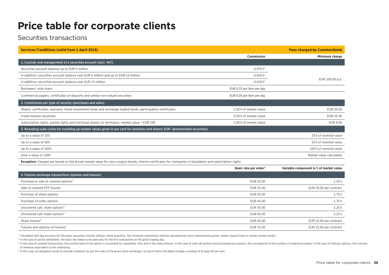# **Price table for corporate clients**

# Securities transactions

| <b>Services/Conditions (valid from 1 April 2019)</b>                                                                                                             |                           | <b>Fees charged by Commerzbank</b> |
|------------------------------------------------------------------------------------------------------------------------------------------------------------------|---------------------------|------------------------------------|
|                                                                                                                                                                  | Commission                | Minimum charge                     |
| 1. Custody and management of a securities account (excl. VAT)                                                                                                    |                           |                                    |
| Securities account balance up to EUR 5 million                                                                                                                   | $0.075\,\%$ <sup>1</sup>  |                                    |
| In addition: securities account balance over EUR 5 million and up to EUR 15 million                                                                              | $0.050\,\%$ <sup>1</sup>  |                                    |
| In addition: securities account balance over EUR 15 million                                                                                                      | $0.010\,\%$ <sup>1</sup>  | EUR 100.00 p.a.                    |
| Borrowers' note loans                                                                                                                                            | EUR 0.15 per item per day |                                    |
| Commercial papers, certificates of deposits and similar non-valued securities                                                                                    | EUR 0.05 per item per day |                                    |
| 2. Commission per type of security (purchases and sales)                                                                                                         |                           |                                    |
| Shares, certificates, warrants, listed investment funds and exchange-traded funds, participation certificates                                                    | 1.00% of market value     | EUR 25.00                          |
| Fixed-interest securities                                                                                                                                        | 0.50% of market value     | EUR 25.00                          |
| Subscription rights, partial rights and fractional shares (in Germany): market value > EUR 100                                                                   | 1.00% of market value     | <b>EUR 9.90</b>                    |
| 3. Rounding scale (rules for rounding up market values given in per cent for annuities and shares: EUR- denominated securities)                                  |                           |                                    |
| Up to a value of 25%                                                                                                                                             |                           | 25% of nominal value               |
| Up to a value of 50%                                                                                                                                             |                           | 50% of nominal value               |
| Up to a value of 100%                                                                                                                                            |                           | 100% of nominal value              |
| Over a value of 100%                                                                                                                                             |                           | Market value calculated            |
| <b>Exception:</b> Charges are levied on the actual market value for zero-coupon bonds, interim certificates for companies in liquidation and subscription rights |                           |                                    |

|                                                        | Basic rate per order <sup>2</sup> | Variable component in % of market value |
|--------------------------------------------------------|-----------------------------------|-----------------------------------------|
| 4. Futures exchange transactions (options and futures) |                                   |                                         |
| Purchase or sale of covered options <sup>3</sup>       | EUR 25.00                         | 1.25%                                   |
| Sale of covered XTF futures                            | EUR 25.00                         | EUR 25.00 per contract                  |
| Purchase of share options                              | EUR 35.00                         | 1.75%                                   |
| Purchase of index options                              | EUR 45.00                         | 1.75%                                   |
| Uncovered call: share options <sup>4</sup>             | EUR 55.00                         | 2.25%                                   |
| Uncovered call: index options <sup>4</sup>             | EUR 65.00                         | 2.25%                                   |
| Share futures <sup>4</sup>                             | EUR 50.00                         | EUR 15.00 per contract                  |
| Futures and options on futures <sup>4</sup>            | EUR 70.00                         | EUR 15.00 per contract                  |

<sup>1</sup> Calculated with day accuracy for the given securities volume; billing is done quarterly. The minimum commission shall be calculated per each commenced quarter. shares (liquid funds or money market funds).

<sup>2</sup> In the case of partial settlement, the basic fee needs to be paid only for the first transaction on the given trading day.

In the case of covered transactions, the countervalue of the option is accounted for separately, fully and in the same amount; in the case of sold call options and purchased put options, this corresponds to the number of u of revenues equivalent to the underlying

⁴ In this case, an obligation arises to provide collateral (as per the rules of the given stock exchange), on top of which the Bank charges a markup of at least 40 per cent.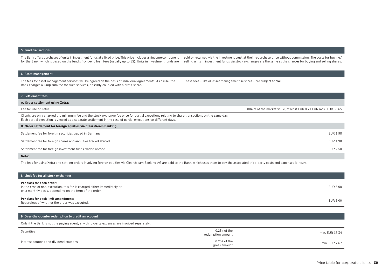### 5. Fund transactions

The Bank offers purchases of units in investment funds at a fixed price. This price includes an income component for the Bank, which is based on the fund's front-end loan fees (usually up to 5%). Units in investment funds are

sold or returned via the investment trust at their repurchase price without commission. The costs for buying/ selling units in investment funds via stock exchanges are the same as the charges for buying and selling shares.

#### 6. Asset management

The fees for asset management services will be agreed on the basis of individual agreements. As a rule, the Bank charges a lump sum fee for such services, possibly coupled with a profit share.

These fees – like all asset management services – are subject to VAT.

# 7. Settlement fees **A. Order settlement using Xetra:** Fee for use of Xetra **1.2006** of the market value, at least EUR 0.71 EUR max. EUR 85.65 Clients are only charged the minimum fee and the stock exchange fee once for partial executions relating to share transactions on the same day. Each partial execution is viewed as a separate settlement in the case of partial executions on different days. **B. Order settlement for foreign equities via Clearstream Banking:** Settlement fee for foreign securities traded in Germany EUR 1.98 Settlement fee for foreign shares and annuities traded abroad EUR 1.98 Settlement fee for foreign investment funds traded abroad EUR 2.50 **Note:**

The fees for using Xetra and settling orders involving foreign equities via Clearstream Banking AG are paid to the Bank, which uses them to pay the associated third-party costs and expenses it incurs.

| 8. Limit fee for all stock exchanges                                                                                                                            |          |
|-----------------------------------------------------------------------------------------------------------------------------------------------------------------|----------|
| Per class for each order:<br>In the case of non-execution, this fee is charged either immediately or<br>on a monthly basis, depending on the term of the order. | EUR 5.00 |
| Per class for each limit amendment:<br>Regardless of whether the order was executed.                                                                            | EUR 5.00 |

### 9. Over-the-counter redemption to credit an account

Only if the Bank is not the paying agent; any third-party expenses are invoiced separately:

| Securities                            | 0.25% of the<br>redemption amount | min. EUR 15.34 |
|---------------------------------------|-----------------------------------|----------------|
| Interest coupons and dividend coupons | 0.25% of the<br>gross amount      | min. EUR 7.67  |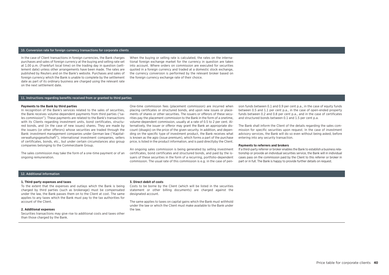#### 10. Conversion rate for foreign currency transactions for corporate clients

In the case of Client transactions in foreign currencies, the Bank charges purchases and sales of foreign currency at the buying and selling rate set at 1.00 p.m. (Frankfurt local time) on the trading day in question (settlement date) unless other arrangements have been made. The rates are published by Reuters and on the Bank's website. Purchases and sales of foreign currency which the Bank is unable to complete by the settlement date as part of its ordinary business are charged using the relevant rate on the next settlement date.

When the buying or selling rate is calculated, the rates on the international foreign exchange market for the currency in question are taken into account. Where orders on commission are executed for securities quoted in a foreign currency and traded at a domestic stock exchange, the currency conversion is performed by the relevant broker based on the foreign currency exchange rate of their choice.

#### 11. Instructions regarding benefits received from or granted to third parties

#### **Payments to the Bank by third parties**

In recognition of the Bank's services related to the sales of securities, the Bank receives volume-dependent payments from third parties ("sales commission"). These payments are related to the Bank's transactions with its Clients regarding investment units, bond certificates, structured bonds, and (in the case of new issues) shares. They are made by the issuers (or other offerors) whose securities are traded through the Bank: investment management companies under German law ("Kapitalverwaltungsgesellschaft"), international investment companies, sellers of certificates, bonds, etc., but under certain circumstances also group companies belonging to the Commerzbank Group.

The sales commission may take the form of a one-time payment or of an ongoing remuneration.

One-time commission fees (placement commission) are incurred when placing certificates or structured bonds, and upon new issues or placements of shares or other securities. The issuers or offerors of these securities pay the placement commission to the Bank in the form of a onetime, volume-dependent commission, usually at a rate of 0.5 to 2 per cent. Alternatively, the issuer or offeror may grant the Bank an appropriate discount (disagio) on the price of the given security. In addition, and depending on the specific type of investment product, the Bank receives what is known as the agio (issue premium), which forms a part of the purchase price, is listed in the product information, and is paid directlyby the Client.

An ongoing sales commission is being generated by selling investment certificates, bond certificates and structured bonds, and paid by the issuers of these securities in the form of a recurring, portfolio-dependent commission. The usual rate of this commission is e.g. in the case of pen-

sion funds between 0.1 and 0.9 per cent p.a., in the case of equity funds between 0.5 and 1.1 per cent p.a., in the case of open-ended property funds between 0.2 and 0.8 per cent p.a., and in the case of certificates and structured bonds between 0.1 and 1.5 per cent p.a.

The Bank shall inform the Client of the details regarding the sales commission for specific securities upon request. In the case of investment advisory services, the Bank will do so even without being asked, before entering into any security transaction.

#### **Payments to referrers and brokers**

If a third-party referrer or broker enables the Bank to establish a business relationship or provide an individual securities service, the Bank will in individual cases pass on the commission paid by the Client to this referrer or broker in part or in full. The Bank is happy to provide further details on request.

### 12. Additional information

#### **1. Third-party expenses and taxes**

To the extent that the expenses and outlays which the Bank is being charged by third parties (such as brokerage) must be compensated under the law, the Bank passes them on to the Client at cost. The same applies to any taxes which the Bank must pay to the tax authorities for account of the Client.

#### **2. Additional expenses**

Securities transactions may give rise to additional costs and taxes other than those charged by the Bank.

#### **3. Direct debit of costs**

Costs to be borne by the Client (which will be listed in the securities statement or other billing documents) are charged against the designated account.

The same applies to taxes on capital gains which the Bank must withhold under the law or which the Client must make available to the Bank under the law.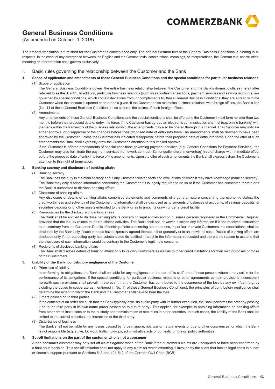

(As amended on October, 1, 2018)

The present translation is furnished for the Customer's convenience only. The original German text of the General Business Conditions is binding in all respects. In the event of any divergence between the English and the German texts, constructions, meanings, or interpretations, the German text, construction, meaning or interpretation shall govern exclusively.

- I.Basic rules governing the relationship between the Customer and the Bank
- **1.Scope of application and amendments of these General Business Conditions and the special conditions for particular business relations**

(1) Scope of application

The General Business Conditions govern the entire business relationship between the Customer and the Bank's domestic offices (hereinafter referred to as the "Bank"). In addition, particular business relations (such as securities transactions, payment services and savings accounts) are governed by special conditions, which contain deviations from, or complements to, these General Business Conditions; they are agreed with the Customer when the account is opened or an order is given. If the Customer also maintains business relations with foreign offices, the Bank's lien (No. 14 of these General Business Conditions) also secures the claims of such foreign offices.

(2) Amendments

Any amendments of these General Business Conditions and the special conditions shall be offered to the Customer in text form no later than two months before their proposed date of entry into force. If the Customer has agreed an electronic communication channel (e.g. online banking) with the Bank within the framework of the business relationship, the amendments may also be offered through this channel. The Customer may indicate either approval or disapproval of the changes before their proposed date of entry into force.The amendments shall be deemed to have been approved by the Customer, unless the Customer has indicated disapproval before their proposed date of entry into force. Upon the offer of such amendments the Bank shall expressly draw the Customer's attention to this implied approval.

If the Customer is offered amendments of special conditions governing payment services (e.g. General Conditions for Payment Services), the Customer may also terminate the payment services framework contract (Zahlungsdiensterahmenvertrag) free of charge with immediate effect before the proposed date of entry into force of the amendments. Upon the offer of such amendments the Bank shall expressly draw the Customer's attention to this right of termination.

#### **2.Banking secrecy and disclosure of banking affairs**

(1) Banking secrecy

The Bank has the duty to maintain secrecy about any Customer-related facts and evaluations of which it may have knowledge (banking secrecy). The Bank may only disclose information concerning the Customer if it is legally required to do so or if the Customer has consented thereto or if the Bank is authorized to disclose banking affairs.

(2) Disclosure of banking affairs

Any disclosure of details of banking affairs comprises statements and comments of a general nature concerning the economic status, the creditworthiness and solvency of the Customer; no information shall be disclosed as to amounts of balances of accounts, of savings deposits, of securities deposits or of other assets entrusted to the Bank or as to amounts drawn under a credit facility.

(3) Prerequisites for the disclosure of banking affairs

The Bank shall be entitled to disclose banking affairs concerning legal entities and on business persons registered in the Commercial Register, provided that the inquiry relates to their business activities. The Bank shall not, however, disclose any information if it has received instructions to the contrary from the Customer. Details of banking affairs concerning other persons, in particular private Customers and associations, shall be disclosed by the Bank only if such persons have expressly agreed thereto, either generally or in an individual case. Details of banking affairs are disclosed only if the requesting party has substantiated its justified interest in the information requested and there is no reason to assume that the disclosure of such information would be contrary to the Customer's legitimate concerns.

(4) Recipients of disclosed banking affairs The Bank shall disclose details of banking affairs only to its own Customers as well as to other credit institutions for their own purposes or those of their Customers.

#### **3.Liability of the Bank; contributory negligence of the Customer**

(1) Principles of liability

In performing its obligations, the Bank shall be liable for any negligence on the part of its staff and of those persons whom it may call in for the performance of its obligations. If the special conditions for particular business relations or other agreements contain provisions inconsistent herewith such provisions shall prevail. In the event that the Customer has contributed to the occurrence of the loss by any own fault (e.g. by violating the duties to cooperate as mentioned in No. 11 of these General Business Conditions), the principles of contributory negligence shall determine the extent to which the Bank and the Customer shall have to bear the loss.

(2) Orders passed on to third parties

If the contents of an order are such that the Bank typically entrusts a third party with its further execution, the Bank performs the order by passing it on to the third party in its own name (order passed on to a third party). This applies, for example, to obtaining information on banking affairs from other credit institutions or to the custody and administration of securities in other countries. In such cases, the liability of the Bank shall be limited to the careful selection and instruction of the third party.

(3) Disturbance of business

The Bank shall not be liable for any losses caused by force majeure, riot, war or natural events or due to other occurrences for which the Bank is not responsible (e.g. strike, lock-out, traffic hold-ups, administrative acts of domestic or foreign public authorities).

#### **4.Set-off limitations on the part of the customer who is not a consumer**

of infancial support parsuant to occidens 515 and 451-512 of the octman own ocue (DOD).<br>
General Business Conditions A non-consumer customer may only set off claims against those of the Bank if the customer's claims are undisputed or have been confirmed by a final court decision. This set-off limitation shall not apply to any claim for which offsetting is invoked by the client that has its legal basis in a loan or financial support pursuant to Sections 513 and 491-512 of the German Civil Code (BGB).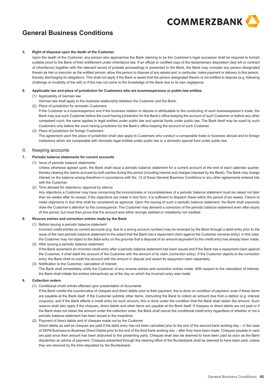

#### **5.Right of disposal upon the death of the Customer**

Upon the death of the Customer, any person who approaches the Bank claiming to be the Customer's legal successor shall be required to furnish suitable proof to the Bank of their entitlement under inheritance law. If an official or certified copy of the testamentary disposition (last will or contract of inheritance) together with the relevant record of probate proceedings is presented to the Bank, the Bank may consider any person designated therein as heir or executor as the entitled person, allow this person to dispose of any assets and, in particular, make payment or delivery to this person, thereby discharging its obligations. This shall not apply if the Bank is aware that the person designated therein is not entitled to dispose (e.g. following challenge or invalidity of the will) or if this has not come to the knowledge of the Bank due to its own negligence

#### **6.Applicable law and place of jurisdiction for Customers who are businesspersons or public-law entities**

- (1) Applicability of German law
	- German law shall apply to the business relationship between the Customer and the Bank.
- (2) Place of jurisdiction for domestic Customers

If the Customer is a businessperson and if the business relation in dispute is attributable to the conducting of such businessperson's trade, the Bank may sue such Customer before the court having jurisdiction for the Bank's office keeping the account of such Customer or before any other competent court; the same applies to legal entities under public law and special funds under public law. The Bank itself may be sued by such Customers only before the court having jurisdiction for the Bank's office keeping the account of such Customer.

(3) Place of jurisdiction for foreign Customers The agreement upon the place of jurisdiction shall also apply to Customers who conduct a comparable trade or business abroad and to foreign institutions which are comparable with domestic legal entities under public law or a domestic special fund under public law.

#### II.Keeping accounts

#### **7.Periodic balance statements for current accounts**

(1) Issue of periodic balance statements

Unless otherwise agreed upon, the Bank shall issue a periodic balance statement for a current account at the end of each calendar quarter, thereby clearing the claims accrued by both parties during this period (including interest and charges imposed by the Bank). The Bank may charge interest on the balance arising therefrom in accordance with No. 12 of these General Business Conditions or any other agreements entered into with the Customer.

(2) Time allowed for objections; approval by silence

Any objections a Customer may have concerning the incorrectness or incompleteness of a periodic balance statement must be raised not later than six weeks after its receipt; if the objections are made in text form, it is sufficient to dispatch these within the period of six weeks. Failure to make objections in due time shall be considered as approval. Upon the issuing of such a periodic balance statement, the Bank shall expressly draw the Customer's attention to this consequence. The Customer may demand a correction of the periodic balance statement even after expiry of this period, but must then prove that the account was either wrongly debited or mistakenly not credited.

#### **8.Reverse entries and correction entries made by the Bank**

(1) Before issuing a periodic balance statement

Incorrect credit entries on current accounts (e.g. due to a wrong account number) may be reversed by the Bank through a debit entry prior to the issue of the next periodic balance statement to the extent that the Bank has a repayment claim against the Customer (reverse entry); in this case, the Customer may not object to the debit entry on the grounds that a disposal of an amount equivalent to the credit entry has already been made.

- (2) After issuing a periodic balance statement If the Bank ascertains an incorrect credit entry after a periodic balance statement has been issued and if the Bank has a repayment claim against the Customer, it shall debit the account of the Customer with the amount of its claim (correction entry). If the Customer objects to the correction entry, the Bank shall re-credit the account with the amount in dispute and assert its repayment claim separately.
- (3) Notification to the Customer; calculation of interest The Bank shall immediately notify the Customer of any reverse entries and correction entries made. With respect to the calculation of interest, the Bank shall initiate the entries retroactively as of the day on which the incorrect entry was made.

#### **9.Collection orders**

(1) Conditional credit entries effected upon presentation of documents

If the Bank credits the countervalue of cheques and direct debits prior to their payment, this is done on condition of payment, even if these items are payable at the Bank itself. If the Customer submits other items, instructing the Bank to collect an amount due from a debtor (e.g. interest coupons), and if the Bank effects a credit entry for such amount, this is done under the condition that the Bank shall obtain the amount. Such reserve shall also apply if the cheques, direct debits and other items are payable at the Bank itself. If cheques or direct debits are not paid or if the Bank does not obtain the amount under the collection order, the Bank shall cancel the conditional credit entry regardless of whether or not a periodic balance statement has been issued in the meantime.

(2) Payment of direct debits and of cheques made out by the Customer

Direct debits as well as cheques are paid if the debit entry has not been cancelled prior to the end of the second bank working day – in the case of SEPA Business-to-Business Direct Debits prior to the end of the third bank working day – after they have been made. Cheques payable in cash are paid once their amount has been disbursed to the presenting party. Cheques shall also be deemed to have been paid as soon as the Bank dispatches an advice of payment. Cheques presented through the clearing office of the Bundesbank shall be deemed to have been paid, unless they are returned by the time stipulated by the Bundesbank.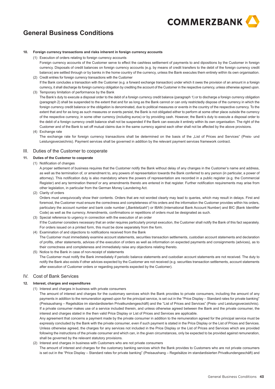

#### **10.Foreign currency transactions and risks inherent in foreign currency accounts**

(1) Execution of orders relating to foreign currency accounts

- Foreign currency accounts of the Customer serve to effect the cashless settlement of payments to and dipositions by the Customer in foreign currency. Disposals of credit balances on foreign currency accounts (e.g. by means of credit transfers to the debit of the foreign currency credit balance) are settled through or by banks in the home country of the currency, unless the Bank executes them entirely within its own organisation.
- (2) Credit entries for foreign currency transactions with the Customer If the Bank concludes a transaction with the Customer (e.g. a forward exchange transaction) under which it owes the provision of an amount in a foreign currency, it shall discharge its foreign currency obligation by crediting the account of the Customer in the respective currency, unless otherwise agreed upon.

(3) Temporary limitation of performance by the Bank The Bank's duty to execute a disposal order to the debit of a foreign currency credit balance (paragraph 1) or to discharge a foreign currency obligation (paragraph 2) shall be suspended to the extent that and for as long as the Bank cannot or can only restrictedly dispose of the currency in which the foreign currency credit balance or the obligation is denominated, due to political measures or events in the country of the respective currency. To the extent that and for as long as such measures or events persist, the Bank is not obligated either to perform at some other place outside the currency of the respective currency, in some other currency (including euros) or by providing cash. However, the Bank's duty to execute a disposal order to the debit of a foreign currency credit balance shall not be suspended if the Bank can execute it entirely within its own organisation. The right of the Customer and of the Bank to set off mutual claims due in the same currency against each other shall not be affected by the above provisions.

# (4) Exchange rate

The exchange rate for foreign currency transactions shall be determined on the basis of the "List of Prices and Services" (Preis- und Leistungsverzeichnis). Payment services shall be governed in addition by the relevant payment services framework contract.

# III. Duties of the Customer to cooperate

#### **11.Duties of the Customer to cooperate**

(1) Notification of changes

A proper settlement of business requires that the Customer notify the Bank without delay of any changes in the Customer's name and address, as well as the termination of, or amendment to, any powers of representation towards the Bank conferred to any person (in particular, a power of attorney). This notification duty is also mandatory where the powers of representation are recorded in a public register (e.g. the Commercial Register) and any termination thereof or any amendments thereto are entered in that register. Further notification requirements may arise from other legislation, in particular from the German Money Laundering Act.

(2) Clarity of orders

Orders must unequivocally show their contents. Orders that are not worded clearly may lead to queries, which may result in delays. First and foremost, the Customer must ensure the correctness and completeness of his orders and the information the Customer provides within his orders, particulary the account number and bank code number ("Bankleitzahl") or IBAN (International Bank Account Number) and BIC (Bank Identifier Code) as well as the currency. Amendments, confirmations or repetitions of orders must be designated as such.

(3) Special reference to urgency in connection with the execution of an order If the Customer considers necessary that an order requires particularly prompt execution, the Customer shall notify the Bank of this fact separately. For orders issued on a printed form, this must be done separately from the form.

# (4) Examination of and objections to notifications received from the Bank The Customer must immediately examine account statements, securities transaction settlements, custodian account statements and declaration of profits, other statements, advices of the execution of orders as well as information on expected payments and consignments (advices), as to their correctness and completeness and immediately raise any objections relating thereto.

(5) Notice to the Bank in case of non-receipt of statements The Customer must notify the Bank immediately if periodic balance statements and custodian account statements are not received. The duty to notify the Bank also exists if other advices expected by the Customer are not received (e.g. securities transaction settlements, account statements after execution of Customer orders or regarding payments expected by the Customer).

# IV. Cost of Bank Services

#### **12.Interest, charges and expenditures**

(1) Interest and charges in business with private consumers

The amount of interest and charges for the customary services which the Bank provides to private consumers, including the amount of any payments in addition to the remuneration agreed upon for the principal service, is set out in the "Price Display – Standard rates for private banking" (Preisaushang – Regelsätze im standardisierten Privatkundengeschäft) and the "List of Prices and Services" (Preis- und Leistungsverzeichnis). If a private consumer makes use of a service included therein, and unless otherwise agreed between the Bank and the private consumer, the interest and charges stated in the then valid Price Display or List of Prices and Services are applicable.

Any agreement that concerns a payment made by the private consumer in addition to the remuneration agreed for the principal service must be expressly concluded by the Bank with the private consumer, even if such payment is stated in the Price Display or the List of Prices and Services. Unless otherwise agreed, the charges for any services not included in the Price Display or the List of Prices and Services which are provided following the instructions of the private consumer and which can, in the given circumstances, only be expected to be provided against remuneration, shall be governed by the relevant statutory provisions.

## (2) Interest and charges in business with Customers who are not private consumers

 **22/03/27 – HD1018** The amount of interest and charges for the customary banking services which the Bank provides to Customers who are not private consumers is set out in the "Price Display – Standard rates for private banking" (Preisaushang – Regelsätze im standardisierten Privatkundengeschäft) and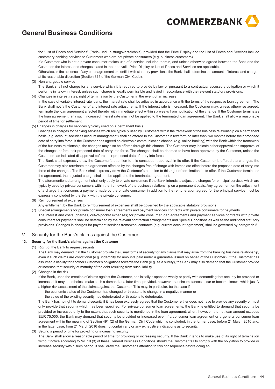

the "List of Prices and Services" (Preis- und Leistungsverzeichnis), provided that the Price Display and the List of Prices and Services include customary banking services to Customers who are not private consumers (e.g. business customers).

If a Customer who is not a private consumer makes use of a service included therein, and unless otherwise agreed between the Bank and the Customer, the interest and charges stated in the then valid Price Display or List of Prices and Services are applicable.

Otherwise, in the absence of any other agreement or conflict with statutory provisions, the Bank shall determine the amount of interest and charges at its reasonable discretion (Section 315 of the German Civil Code).

(3) Non-chargeable service

The Bank shall not charge for any service which it is required to provide by law or pursuant to a contractual accessory obligation or which it performs in its own interest, unless such charge is legally permissible and levied in accordance with the relevant statutory provisions.

(4) Changes in interest rates; right of termination by the Customer in the event of an increase In the case of variable interest rate loans, the interest rate shall be adjusted in accordance with the terms of the respective loan agreement. The Bank shall notify the Customer of any interest rate adjustments. If the interest rate is increased, the Customer may, unless otherwise agreed, terminate the loan agreement affected thereby with immediate effect within six weeks from notification of the change. If the Customer terminates the loan agreement, any such increased interest rate shall not be applied to the terminated loan agreement. The Bank shall allow a reasonable period of time for settlement.

(5) Changes in charges for services typically used on a permanent basis

Changes in charges for banking services which are typically used by Customers within the framework of the business relationship on a permanent basis (e.g. account/securities account management) shall be offered to the Customer in text form no later than two months before their proposed date of entry into force. If the Customer has agreed an electronic communication channel (e.g. online banking) with the Bank within the framework of the business relationship, the changes may also be offered through this channel. The Customer may indicate either approval or disapproval of the changes before their proposed date of entry into force. The changes shall be deemed to have been approved by the Customer, unless the Customer has indicated disapproval before their proposed date of entry into force.

The Bank shall expressly draw the Customer's attention to this consequent approval in its offer. If the Customer is offered the changes, the Customer may also terminate the agreement affected by the changes free of charge with immediate effect before the proposed date of entry into force of the changes. The Bank shall expressly draw the Customer's attention to this right of termination in its offer. If the Customer terminates the agreement, the adjusted charge shall not be applied to the terminated agreement.

The aforementioned arrangement shall only apply to private consumers if the Bank intends to adjust the charges for principal services which are typically used by private consumers within the framework of the business relationship on a permanent basis. Any agreement on the adjustment of a charge that concerns a payment made by the private consumer in addition to the remuneration agreed for the principal service must be expressly concluded by the Bank with the private consumer.

(6) Reimbursement of expenses

Any entitlement by the Bank to reimbursement of expenses shall be governed by the applicable statutory provisions.

(7) Special arrangements for private consumer loan agreements and payment services contracts with private consumers for payments The interest and costs (charges, out-of-pocket expenses) for private consumer loan agreements and payment services contracts with private consumers for payments shall be determined by the relevant contractual arrangements and Special Conditions as well as the additional statutory provisions. Changes in charges for payment services framework contracts (e.g. current account agreement) shall be governed by paragraph 5.

#### V.Security for the Bank's claims against the Customer

#### **13.Security for the Bank's claims against the Customer**

(1) Right of the Bank to request security

The Bank may demand that the Customer provide the usual forms of security for any claims that may arise from the banking business relationship, even if such claims are conditional (e.g. indemnity for amounts paid under a guarantee issued on behalf of the Customer). If the Customer has assumed a liability for another Customer's obligations towards the Bank (e.g. as a surety), the Bank may also demand that the Customer provide or increase that security at maturity of the debt resulting from such liability.

(2) Changes in the risk

If the Bank, upon the creation of claims against the Customer, has initially dispensed wholly or partly with demanding that security be provided or increased, it may nonetheless make such a demand at a later time, provided, however, that circumstances occur or become known which justify a higher risk assessment of the claims against the Customer. This may, in particular, be the case if

- the economic status of the Customer has changed or threatens to change in a negative manner or
- the value of the existing security has deteriorated or threatens to deteriorate.

The Bank has no right to demand security if it has been expressly agreed that the Customer either does not have to provide any security or must only provide that security which has been specified. For private consumer loan agreements, the Bank is entitled to demand that security be provided or increased only to the extent that such security is mentioned in the loan agreement; when, however, the net loan amount exceeds EUR 75,000, the Bank may demand that security be provided or increased even if a consumer loan agreement or a general consumer loan agreement within the meaning of Section 491 (2) of the German Civil Code which is concluded, in the former case, before 21 March 2016 and, in the latter case, from 21 March 2016 does not contain any or any exhaustive indications as to security.

(3) Setting a period of time for providing or increasing security

The Bank shall allow a reasonable period of time for providing or increasing security. If the Bank intends to make use of its right of termination without notice according to No. 19 (3) of these General Business Conditions should the Customer fail to comply with the obligation to provide or increase security within such period, it shall draw the Customer's attention to this consequence before doing so.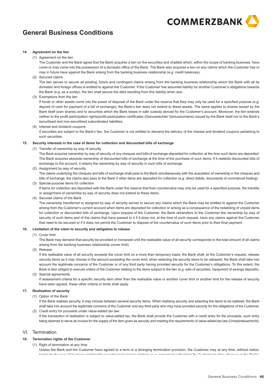

## **14. Agreement on the lien**

## (1) Agreement on the lien

The Customer and the Bank agree that the Bank acquires a lien on the securities and chattels which, within the scope of banking business, have come or may come into the possession of a domestic office of the Bank. The Bank also acquires a lien on any claims which the Customer has or may in future have against the Bank arising from the banking business relationship (e.g. credit balances).

(2) Secured claims

The lien serves to secure all existing, future and contingent claims arising from the banking business relationship which the Bank with all its domestic and foreign offices is entitled to against the Customer. If the Customer has assumed liability for another Customer's obligations towards the Bank (e.g. as a surety), the lien shall secure the debt resulting from this liability when due.

## (3) Exemptions from the lien

If funds or other assets come into the power of disposal of the Bank under the reserve that they may only be used for a specified purpose (e.g. deposit of cash for payment of a bill of exchange), the Bank's lien does not extend to these assets. The same applies to shares issued by the Bank itself (own shares) and to securities which the Bank keeps in safe custody abroad for the Customer's account. Moreover, the lien extends neither to the profit-participation rights/profit-participation certificates (Genussrechte/ Genussscheine) issued by the Bank itself nor to the Bank's securitised and non-securitised subordinated liabilities.

(4) Interest and dividend coupons

If securities are subject to the Bank's lien, the Customer is not entitled to demand the delivery of the interest and dividend coupons pertaining to such securities.

### **15. Security interests in the case of items for collection and discounted bills of exchange**

(1) Transfer of ownership by way of security

The Bank acquires ownership by way of security of any cheques and bills of exchange deposited for collection at the time such items are deposited. The Bank acquires absolute ownership of discounted bills of exchange at the time of the purchase of such items; if it redebits discounted bills of exchange to the account, it retains the ownership by way of security in such bills of exchange.

(2) Assignment by way of security

The claims underlying the cheques and bills of exchange shall pass to the Bank simultaneously with the acquisition of ownership in the cheques and bills of exchange; the claims also pass to the Bank if other items are deposited for collection (e.g. direct debits, documents of commercial trading). (3) Special-purpose items for collection

If items for collection are deposited with the Bank under the reserve that their countervalue may only be used for a specified purpose, the transfer or assignment of ownership by way of security does not extend to these items.

(4) Secured claims of the Bank

The ownership transferred or assigned by way of security serves to secure any claims which the Bank may be entitled to against the Customer arising from the Customer's current account when items are deposited for collection or arising as a consequence of the redebiting of unpaid items for collection or discounted bills of exchange. Upon request of the Customer, the Bank retransfers to the Customer the ownership by way of security of such items and of the claims that have passed to it if it does not, at the time of such request, have any claims against the Customer that need to be secured or if it does not permit the Customer to dispose of the countervalue of such items prior to their final payment.

## **16. Limitation of the claim to security and obligation to release**

## (1) Cover limit

The Bank may demand that security be provided or increased until the realisable value of all security corresponds to the total amount of all claims arising from the banking business relationship (cover limit).

(2) Release

If the realisable value of all security exceeds the cover limit on a more than temporary basis, the Bank shall, at the Customer's request, release security items as it may choose in the amount exceeding the cover limit; when selecting the security items to be released, the Bank shall take into account the legitimate concerns of the Customer or of any third party having provided security for the Customer's obligations. To this extent, the Bank is also obliged to execute orders of the Customer relating to the items subject to the lien (e.g. sale of securities, repayment of savings deposits). (3) Special agreements

If assessment criteria for a specific security item other than the realisable value or another cover limit or another limit for the release of security have been agreed, these other criteria or limits shall apply.

## **17. Realisation of security**

(1) Option of the Bank

If the Bank realises security, it may choose between several security items. When realising security and selecting the items to be realised, the Bank shall take into account the legitimate concerns of the Customer and any third party who may have provided security for the obligations of the Customer. (2) Credit entry for proceeds under value-added tax law

If the transaction of realisation is subject to value-added tax, the Bank shall provide the Customer with a credit entry for the proceeds, such entry being deemed to serve as invoice for the supply of the item given as security and meeting the requirements of value-added tax law (Umsatzsteuerrecht).

# VI. Termination

## **18. Termination rights of the Customer**

(1) Right of termination at any time

terminate the over all business relationship or noticular business relations (o.g. acrosment outborining the Cuntemar to draw show us on the Danl<br>General Business Conditions<br>General Business Conditions Unless the Bank and the Customer have agreed to a term or a diverging termination provision, the Customer may at any time, without notice, terminate the over-all business relationship or particular business relations (e.g. agreement authorizing the Customer to draw cheques on the Bank).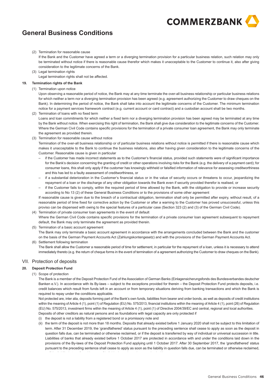

(2) Termination for reasonable cause

If the Bank and the Customer have agreed a term or a diverging termination provision for a particular business relation, such relation may only be terminated without notice if there is reasonable cause therefor which makes it unacceptable to the Customer to continue it, also after giving consideration to the legitimate concerns of the Bank.

- (3) Legal termination rights
	- Legal termination rights shall not be affected.

#### **19.Termination rights of the Bank**

(1) Termination upon notice

Upon observing a reasonable period of notice, the Bank may at any time terminate the over-all business relationship or particular business relations for which neither a term nor a diverging termination provision has been agreed (e.g. agreement authorizing the Customer to draw cheques on the Bank). In determining the period of notice, the Bank shall take into account the legitimate concerns of the Customer. The minimum termination notice for a payment services framework contract (e.g. current account or card contract) and a custodian account shall be two months.

(2) Termination of loans with no fixed term

Loans and loan commitments for which neither a fixed term nor a diverging termination provision has been agreed may be terminated at any time by the Bank without notice. When exercising this right of termination, the Bank shall give due consideration to the legitimate concerns of the Customer. Where the German Civil Code contains specific provisions for the termination of a private consumer loan agreement, the Bank may only terminate the agreement as provided therein.

(3) Termination for reasonable cause without notice

Termination of the over-all business relationship or of particular business relations without notice is permitted if there is reasonable cause which makes it unacceptable to the Bank to continue the business relations, also after having given consideration to the legitimate concerns of the Customer. Reasonable cause is given in particular

- – if the Customer has made incorrect statements as to the Customer's financial status, provided such statements were of significant importance for the Bank's decision concerning the granting of credit or other operations involving risks for the Bank (e.g. the delivery of a payment card); for consumer loans, this shall only apply if the customer has knowingly withheld or falsified information of relevance for assessing creditworthiness and this has led to a faulty assessment of creditworthiness, or
- if a substantial deterioration in the Customer's financial status or in the value of security occurs or threatens to occur, jeopardizing the repayment of a loan or the discharge of any other obligation towards the Bank even if security provided therefor is realised, or
- if the Customer fails to comply, within the required period of time allowed by the Bank, with the obligation to provide or increase security according to No 13 (2) of these General Business Conditions or to the provisions of some other agreement

If reasonable cause is given due to the breach of a contractual obligation, termination shall only be permitted after expiry, without result, of a reasonable period of time fixed for corrective action by the Customer or after a warning to the Customer has proved unsuccessful, unless this proviso can be dispensed with owing to the special features of a particular case (Section 323 (2) and (3) of the German Civil Code).

- (4) Termination of private consumer loan agreements in the event of default Where the German Civil Code contains specific provisions for the termination of a private consumer loan agreement subsequent to repayment default, the Bank may only terminate the agreement as provided therein.
- (5) Termination of a basic account agreement
- The Bank may only terminate a basic account agreement in accordance with the arrangements concluded between the Bank and the customer on the basis of the German Payment Accounts Act (Zahlungskontengesetz) and with the provisions of the German Payment Accounts Act.
- (6) Settlement following termination

The Bank shall allow the Customer a reasonable period of time for settlement, in particular for the repayment of a loan, unless it is necessary to attend immediately thereto (e.g. the return of cheque forms in the event of termination of a agreement authorizing the Customer to draw cheques on the Bank).

# VII. Protection of deposits

#### **20.Deposit Protection Fund**

(1) Scope of protection

The Bank is a member of the Deposit Protection Fund of the Association of German Banks (Einlagensicherungsfonds des Bundesverbandes deutscher Banken e.V.). In accordance with its By-laws – subject to the exceptions provided for therein – the Deposit Protection Fund protects deposits, i.e. credit balances which result from funds left in an account or from temporary situations deriving from banking transactions and which the Bank is required to repay under the conditions applicable.

Not protected are, inter alia, deposits forming part of the Bank's own funds, liabilities from bearer and order bonds, as well as deposits of credit institutions within the meaning of Article 4 (1), point (1) of Regulation (EU) No. 575/2013, financial institutions within the meaning of Article 4 (1), point (26) of Regulation (EU) No. 575/2013, investment firms within the meaning of Article 4 (1), point (1) of Directive 2004/39/EC and central, regional and local authorities. Deposits of other creditors as natural persons and as foundations with legal capacity are only protected if

(i) the deposit is not a liability from a registered bond or a promissory note and

or if the liability is transferred by way of individual or universal succession in title.

(ii) the term of the deposit is not more than 18 months. Deposits that already existed before 1 January 2020 shall not be subject to this limitation of term. After 31 December 2019, the 'grandfathered' status pursuant to the preceding sentence shall cease to apply as soon as the deposit in question falls due, can be terminated or otherwise reclaimed, or if the deposit is transferred by way of individual or universal succession in title. Liabilities of banks that already existed before 1 October 2017 are protected in accordance with and under the conditions laid down in the provisions of the By-laws of the Deposit Protection Fund applying until 1 October 2017. After 30 September 2017, the 'grandfathered' status pursuant to the preceding sentence shall cease to apply as soon as the liability in question falls due, can be terminated or otherwise reclaimed,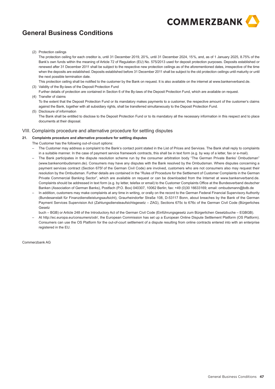

(2) Protection ceilings

The protection ceiling for each creditor is, until 31 December 2019, 20%, until 31 December 2024, 15%, and, as of 1 January 2025, 8.75% of the Bank's own funds within the meaning of Article 72 of Regulation (EU) No. 575/2013 used for deposit protection purposes. Deposits established or renewed after 31 December 2011 shall be subject to the respective new protection ceilings as of the aforementioned dates, irrespective of the time when the deposits are established. Deposits established before 31 December 2011 shall be subject to the old protection ceilings until maturity or until the next possible termination date.

- This protection ceiling shall be notified to the customer by the Bank on request. It is also available on the internet at www.bankenverband.de. (3) Validity of the By-laws of the Deposit Protection Fund
- Further details of protection are contained in Section 6 of the By-laws of the Deposit Protection Fund, which are available on request. (4) Transfer of claims
- To the extent that the Deposit Protection Fund or its mandatory makes payments to a customer, the respective amount of the customer's claims against the Bank, together with all subsidiary rights, shall be transferred simultaneously to the Deposit Protection Fund. (5) Disclosure of information
- The Bank shall be entitled to disclose to the Deposit Protection Fund or to its mandatory all the necessary information in this respect and to place documents at their disposal.

# VIII. Complaints procedure and alternative procedure for settling disputes

# **21. Complaints procedure and alternative procedure for settling disputes**

- The Customer has the following out-of-court options:
- The Customer may address a complaint to the Bank's contact point stated in the List of Prices and Services. The Bank shall reply to complaints in a suitable manner. In the case of payment service framework contracts, this shall be in text form (e.g. by way of a letter, fax or e-mail).
- The Bank participates in the dispute resolution scheme run by the consumer arbitration body "The German Private Banks' Ombudsman" (www.bankenombudsmann.de). Consumers may have any disputes with the Bank resolved by the Ombudsman. Where disputes concerning a payment services contract (Section 675f of the German Civil Code) are involved, customers who are not consumers also may request their resolution by the Ombudsman. Further details are contained in the "Rules of Procedure for the Settlement of Customer Complaints in the German Private Commercial Banking Sector", which are available on request or can be downloaded from the Internet at www.bankenverband.de. Complaints should be addressed in text form (e.g. by letter, telefax or email) to the Customer Complaints Office at the Bundesverband deutscher Banken (Association of German Banks), Postfach (P.O. Box) 040307, 10062 Berlin; fax: +49 (0)30 16633169; email: ombudsmann@bdb.de
- In addition, customers may make complaints at any time in writing, or orally on the record to the German Federal Financial Supervisory Authority (Bundesanstalt für Finanzdienstleistungsaufsicht), Graurheindorfer Straße 108, D-53117 Bonn, about breaches by the Bank of the German Payment Services Supervision Act (Zahlungsdiensteaufsichtsgesetz – ZAG), Sections 675c to 676c of the German Civil Code (Bürgerliches Gesetz
- buch BGB) or Article 248 of the Introductory Act of the German Civil Code (Einführungsgesetz zum Bürgerlichen Gesetzbuche EGBGB).
- At http://ec.europa.eu/consumers/odr/, the European Commission has set up a European Online Dispute Settlement Platform (OS Platform). Consumers can use the OS Platform for the out-of-court settlement of a dispute resulting from online contracts entered into with an enterprise registered in the EU.

Commerzbank AG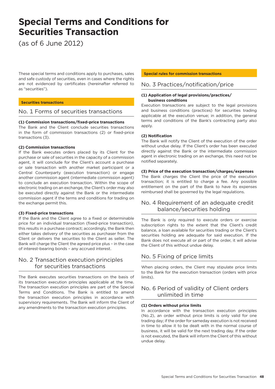# **Special Terms and Conditions for Securities Transaction**

(as of 6 June 2012)

These special terms and conditions apply to purchases, sales and safe custody of securities, even in cases where the rights are not evidenced by certificates (hereinafter referred to as "securities").

# **Securities transactions**

# No. 1 Forms of securities transactions

# **(1) Commission transactions/fixed-price transactions**

The Bank and the Client conclude securities transactions in the form of commission transactions (2) or fixed-price transactions (3).

# **(2) Commission transactions**

If the Bank executes orders placed by its Client for the purchase or sale of securities in the capacity of a commission agent, it will conclude for the Client's account a purchase or sale transaction with another market participant or a Central Counterparty (execution transaction) or engage another commission agent (intermediate commission agent) to conclude an execution transaction. Within the scope of electronic trading on an exchange, the Client's order may also be executed directly against the Bank or the intermediate commission agent if the terms and conditions for trading on the exchange permit this.

# **(3) Fixed-price transactions**

If the Bank and the Client agree to a fixed or determinable price for an individual transaction (fixed-price transaction), this results in a purchase contract; accordingly, the Bank then either takes delivery of the securities as purchaser from the Client or delivers the securities to the Client as seller. The Bank will charge the Client the agreed price plus – in the case of interest-bearing bonds – any accrued interest.

# No. 2 Transaction execution principles for securities transactions

The Bank executes securities transactions on the basis of its transaction execution principles applicable at the time. The transaction execution principles are part of the Special Terms and Conditions. The Bank is entitled to amend the transaction execution principles in accordance with supervisory requirements. The Bank will inform the Client of any amendments to the transaction execution principles.

# **Special rules for commission transactions**

# No. 3 Practices/notification/price

# **(1) Application of legal provisions/practices/ business conditions**

Execution transactions are subject to the legal provisions and business conditions (practices) for securities trading applicable at the execution venue; in addition, the general terms and conditions of the Bank's contracting party also apply.

# **(2) Notification**

The Bank will notify the Client of the execution of the order without undue delay. If the Client's order has been executed directly against the Bank or the intermediate commission agent in electronic trading on an exchange, this need not be notified separately.

# **(3) Price of the execution transaction/charges/expenses**

The Bank charges the Client the price of the execution transaction; it is entitled to charge a fee. Any possible entitlement on the part of the Bank to have its expenses reimbursed shall be governed by the legal regulations.

# No. 4 Requirement of an adequate credit balance/securities holding

The Bank is only required to execute orders or exercise subscription rights to the extent that the Client's credit balance, a loan available for securities trading or the Client's securities holding are adequate for said execution. If the Bank does not execute all or part of the order, it will advise the Client of this without undue delay.

# No. 5 Fixing of price limits

When placing orders, the Client may stipulate price limits to the Bank for the execution transaction (orders with price limits).

# No. 6 Period of validity of Client orders unlimited in time

# **(1) Orders without price limits**

In accordance with the transaction execution principles (No. 2), an order without price limits is only valid for one trading day; if the order for sameday execution is not received in time to allow it to be dealt with in the normal course of business, it will be valid for the next trading day. If the order is not executed, the Bank will inform the Client of this without undue delay.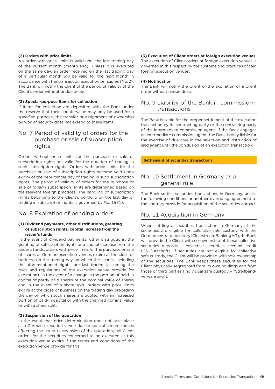# **(2) Orders with price limits**

An order with price limits is valid until the last trading day of the current month (month-end). Unless it is executed on the same day, an order received on the last trading day of a particular month will be valid for the next month in accordance with the transaction execution principles (No. 2). The Bank will notify the Client of the period of validity of the Client's order without undue delay.

# **(3) Special-purpose items for collection**

If items for collection are deposited with the Bank under the reserve that their countervalue may only be used for a specified purpose, the transfer or assignment of ownership by way of security does not extend to these items.

# No. 7 Period of validity of orders for the purchase or sale of subscription rights

Orders without price limits for the purchase or sale of subscription rights are valid for the duration of trading in such subscription rights. Orders with price limits for the purchase or sale of subscription rights become void upon expiry of the penultimate day of trading in such subscription rights. The period of validity of orders for the purchase or sale of foreign subscription rights are determined based on the relevant foreign practices. The handling of subscription rights belonging to the Client's portfolio on the last day of trading in subscription rights is governed by No. 15 (1).

# No. 8 Expiration of pending orders

# **(1) Dividend payments, other distributions, granting of subscription rights, capital increase from the issuer's funds**

In the event of dividend payments, other distributions, the granting of subscription rights or a capital increase from the issuer's funds, orders with price limits for the purchase or sale of shares at German execution venues expire at the close of business on the trading day on which the shares, including the aforementioned rights, are last traded (assuming the rules and regulations of the execution venue provide for expiration). In the event of a change in the portion of paid-in capital of partly-paid shares or the nominal value of shares and in the event of a share split, orders with price limits expire at the close of business on the trading day preceding the day on which such shares are quoted with an increased portion of paid-in capital or with the changed nominal value or with a share split.

# **(2) Suspension of the quotation**

In the event that price determination does not take place at a German execution venue due to special circumstances affecting the issuer (suspension of the quotation), all Client orders for the securities concerned to be executed at this execution venue expire if the terms and conditions of the execution venue provide for this.

# **(3) Execution of Client orders at foreign execution venues**

The execution of Client orders at foreign execution venues is governed in this respect by the customs and practices of said foreign execution venues.

## **(4) Notification**

The Bank will notify the Client of the expiration of a Client order without undue delay.

# No. 9 Liability of the Bank in commissiontransactions

The Bank is liable for the proper settlement of the execution transaction by its contracting party or the contracting party of the intermediate commission agent. If the Bank engages an intermediate commission agent, the Bank is only liable for the exercise of due care in the selection and instruction of said agent until the conclusion of an execution transaction.

**Settlement of securities transactions**

# No. 10 Settlement in Germany as a general rule

The Bank settles securities transactions in Germany, unless the following conditions or another overriding agreement to the contrary provide for acquisition of the securities abroad.

# No. 11 Acquisition in Germany

When settling a securities transaction in Germany, if the securities are eligible for collective safe custody with the German central depository (Clearstream Banking AG), the Bank will provide the Client with co-ownership of these collective securities deposits – collective securities account credit (GS-Gutschrift). If securities are not eligible for collective safe custody, the Client will be provided with sole ownership of the securities. The Bank keeps these securities for the Client physically segregated from its own holdings and from those of third parties (individual safe custody – "Streifbandverwahrung").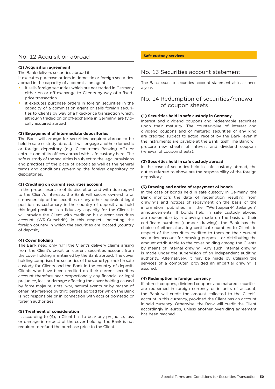# No. 12 Acquisition abroad

# **(1) Acquisition agreement**

The Bank delivers securities abroad if: it executes purchase orders in domestic or foreign securities

- abroad in the capacity of a commission agent •  it sells foreign securities which are not traded in Germany either on or off-exchange to Clients by way of a fixedprice transaction
- •  it executes purchase orders in foreign securities in the capacity of a commission agent or sells foreign securities to Clients by way of a fixed-price transaction which, although traded on or off-exchange in Germany, are typically acquired abroad

# **(2) Engagement of intermediate depositories**

The Bank will arrange for securities acquired abroad to be held in safe custody abroad. It will engage another domestic or foreign depository (e.g. Clearstream Banking AG) or entrust one of its offices abroad with safe custody here. The safe custody of the securities is subject to the legal provisions and practices of the place of deposit as well as the general terms and conditions governing the foreign depository or depositories.

# **(3) Crediting on current securities account**

In the proper exercise of its discretion and with due regard to the Client's interests, the Bank will secure ownership or co-ownership of the securities or any other equivalent legal position as customary in the country of deposit and hold this legal position in a fiduciary capacity for the Client. It will provide the Client with credit on his current securities account (WR-Gutschrift) in this respect, indicating the foreign country in which the securities are located (country of deposit).

# **(4) Cover holding**

The Bank need only fulfil the Client's delivery claims arising from the Client's credit on current securities account from the cover holding maintained by the Bank abroad. The cover holding comprises the securities of the same type held in safe custody for Clients and the Bank in the country of deposit. Clients who have been credited on their current securities account therefore bear proportionally any financial or legal prejudice, loss or damage affecting the cover holding caused by force majeure, riots, war, natural events or by reason of other interference by third parties abroad for which the Bank is not responsible or in connection with acts of domestic or foreign authorities.

# **(5) Treatment of consideration**

If, according to (4), a Client has to bear any prejudice, loss or damage in respect of the cover holding, the Bank is not required to refund the purchase price to the Client.

# **Safe custody services**

# No. 13 Securities account statement

The Bank issues a securities account statement at least once a year.

# No. 14 Redemption of securities/renewal of coupon sheets

# **(1) Securities held in safe custody in Germany**

Interest and dividend coupons and redeemable securities upon their maturity. The countervalue of interest and dividend coupons and of matured securities of any kind are credited subject to actual receipt by the Bank, even if the instruments are payable at the Bank itself. The Bank will procure new sheets of interest and dividend coupons (renewal of coupon sheets).

# **(2) Securities held in safe custody abroad**

In the case of securities held in safe custody abroad, the duties referred to above are the responsibility of the foreign depository.

# **(3) Drawing and notice of repayment of bonds**

In the case of bonds held in safe custody in Germany, the Bank monitors the date of redemption resulting from drawings and notices of repayment on the basis of the information published in the "Wertpapier-Mitteilungen" announcements. If bonds held in safe custody abroad are redeemable by a drawing made on the basis of their certificate numbers (number drawing), the Bank has the choice of either allocating certificate numbers to Clients in respect of the securities credited to them on their current securities account for drawing purposes or distributing the amount attributable to the cover holding among the Clients by means of internal drawing. Any such internal drawing is made under the supervision of an independent auditing authority. Alternatively, it may be made by utilising the services of a computer, provided an impartial drawing is assured.

# **(4) Redemption in foreign currency**

If interest coupons, dividend coupons and matured securities are redeemed in foreign currency or in units of account, the Bank will credit the amount collected to the Client's account in this currency, provided the Client has an account in said currency. Otherwise, the Bank will credit the Client accordingly in euros, unless another overriding agreement has been reached.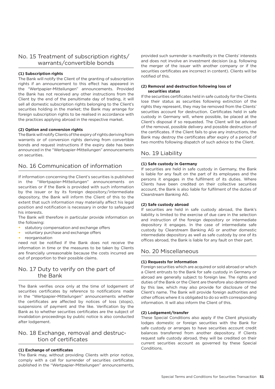# No. 15 Treatment of subscription rights/ warrants/convertible bonds

# **(1) Subscription rights**

The Bank will notify the Client of the granting of subscription rights if an announcement to this effect has appeared in the "Wertpapier-Mitteilungen" announcements. Provided the Bank has not received any other instructions from the Client by the end of the penultimate day of trading, it will sell all domestic subscription rights belonging to the Client's securities holding in the market; the Bank may arrange for foreign subscription rights to be realised in accordance with the practices applying abroad in the respective market.

# **(2) Option and conversion rights**

The Bank will notify Clients of the expiry of rights deriving from warrants or of conversion rights deriving from convertible bonds and request instructions if the expiry date has been announced in the "Wertpapier-Mitteilungen" announcements on securities.

# No. 16 Communication of information

If information concerning the Client's securities is published in the "Wertpapier-Mitteilungen" announcements on securities or if the Bank is provided with such information by the issuer or by its foreign depository/intermediate depository, the Bank will inform the Client of this to the extent that such information may materially affect his legal position and notification is necessary in order to safeguard his interests.

The Bank will therefore in particular provide information on the following:

- • statutory compensation and exchange offers
- • voluntary purchase and exchange offers
- • reorganisation

need not be notified if the Bank does not receive the information in time or the measures to be taken by Clients are financially unreasonable because the costs incurred are out of proportion to their possible claims.

# No. 17 Duty to verify on the part of the Bank

The Bank verifies once only at the time of lodgement of securities certificates by reference to notifications made in the "Wertpapier-Mitteilungen" announcements whether the certificates are affected by notices of loss (stops), suspensions of payment and the like. Verification by the Bank as to whether securities certificates are the subject of invalidation proceedings by public notice is also conducted after lodgement.

# No. 18 Exchange, removal and destruction of certificates

# **(1) Exchange of certificates**

The Bank may, without providing Clients with prior notice, comply with a call for surrender of securities certificates published in the "Wertpapier-Mitteilungen" announcements,

provided such surrender is manifestly in the Clients' interests and does not involve an investment decision (e.g. following the merger of the issuer with another company or if the securities certificates are incorrect in content). Clients will be notified of this.

# **(2) Removal and destruction following loss of securities status**

If the securities certificates held in safe custody for the Clients lose their status as securities following extinction of the rights they represent, they may be removed from the Clients' securities account for destruction. Certificates held in safe custody in Germany will, where possible, be placed at the Client's disposal if so requested. The Client will be advised of the removal, possible delivery and possible destruction of the certificates. If the Client fails to give any instructions, the Bank may destroy the certificates after expiry of a period of two months following dispatch of such advice to the Client.

# No. 19 Liability

# **(1) Safe custody in Germany**

If securities are held in safe custody in Germany, the Bank is liable for any fault on the part of its employees and the persons it engages in the fulfilment of its duties. Where Clients have been credited on their collective securities account, the Bank is also liable for fulfilment of the duties of Clearstream Banking AG.

# **(2) Safe custody abroad**

If securities are held in safe custody abroad, the Bank's liability is limited to the exercise of due care in the selection and instruction of the foreign depository or intermediate depository it engages. In the case of intermediate safe custody by Clearstream Banking AG or another domestic intermediate depository as well as safe custody by one of its offices abroad, the Bank is liable for any fault on their part.

# No. 20 Miscellaneous

# **(1) Requests for information**

Foreign securities which are acquired or sold abroad or which a Client entrusts to the Bank for safe custody in Germany or abroad are generally subject to foreign law. The rights and duties of the Bank or the Client are therefore also determined by this law, which may also provide for disclosure of the Client's name. The Bank will provide foreign authorities and other offices where it is obligated to do so with corresponding information. It will also inform the Client of this.

# **(2) Lodgement/transfer**

These Special Conditions also apply if the Client physically lodges domestic or foreign securities with the Bank for safe custody or arranges to have securities account credit balances transferred from another depository. If Clients request safe custody abroad, they will be credited on their current securities account as governed by these Special Conditions.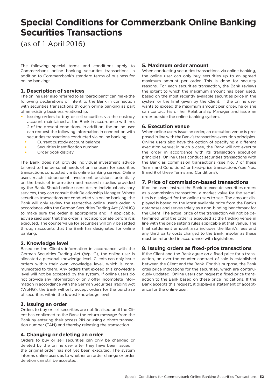# **Special Conditions for Commerzbank Online Banking Securities Transactions**

(as of 1 April 2016)

The following special terms and conditions apply to Commerzbank online banking securities transactions in addition to Commerzbank's standard terms of business for online banking:

# **1. Description of services**

The online user also referred to as "participant" can make the following declarations of intent to the Bank in connection with securities transactions through online banking as part of an existing business relationship:

- •  Issuing orders to buy or sell securities via the custody account maintained at the Bank in accordance with no. 2 of the present conditions. In addition, the online user can request the following information in connection with securities transactions conducted via online banking:
	- • Current custody account balance
	- • Securities identification number
- • Order book display

The Bank does not provide individual investment advice tailored to the personal needs of online users for securities transactions conducted via its online banking service. Online users reach independent investment decisions potentially on the basis of information and research studies provided by the Bank. Should online users desire individual advisory services, they can consult their Relationship Manager. Where securities transactions are conducted via online banking, the Bank will only review the respective online user's order in accordance with the German Securities Trading Act (WpHG) to make sure the order is appropriate and, if applicable, advise said user that the order is not appropriate before it is executed. The countervalue for securities will only be settled through accounts that the Bank has designated for online banking.

# **2. Knowledge level**

Based on the Client's information in accordance with the German Securities Trading Act (WpHG), the online user is allocated a personal knowledge level. Clients can only issue orders within their own knowledge level, which is communicated to them. Any orders that exceed this knowledge level will not be accepted by the system. If online users do not provide any information or only offer incomplete information in accordance with the German Securities Trading Act (WpHG), the Bank will only accept orders for the purchase of securities within the lowest knowledge level

# **3. Issuing an order**

Orders to buy or sell securities are not finalised until the Client has confirmed to the Bank the return message from the Bank by entering their access PIN or using a photo transaction number (TAN) and thereby releasing the transaction.

# **4. Changing or deleting an order**

Orders to buy or sell securities can only be changed or deleted by the online user after they have been issued if the original order has not yet been executed. The system informs online users as to whether an order change or order deletion can still be accepted.

# **5. Maximum order amount**

When conducting securities transactions via online banking, the online user can only buy securities up to an agreed maximum amount per order. This is done for security reasons. For each securities transaction, the Bank reviews the extent to which the maximum amount has been used, based on the most recently available securities price in the system or the limit given by the Client. If the online user wants to exceed the maximum amount per order, he or she can contact his or her Relationship Manager and issue an order outside the online banking system.

# **6. Execution venue**

When online users issue an order, an execution venue is proposed in line with the Bank's transaction execution principles. Online users also have the option of specifying a different execution venue; in such a case, the Bank will not execute the order in accordance with its transaction execution principles. Online users conduct securities transactions with the Bank as commission transactions (see No. 7 of these Terms and Conditions) or fixed-price transactions (see Nos. 8 and 9 of these Terms and Conditions).

# **7. Price of commission-based transactions**

If online users instruct the Bank to execute securities orders as a commission transaction, a market value for the securities is displayed for the online users to see. The amount displayed is based on the latest available price from the Bank's databases and serves solely as a non-binding benchmark for the Client. The actual price of the transaction will not be determined until the order is executed at the trading venue in line with the price setting rules applicable at that venue. The final settlement amount also includes the Bank's fees and any third party costs charged to the Bank, insofar as these must be refunded in accordance with legislation.

# **8. Issuing orders as fixed-price transactions**

If the Client and the Bank agree on a fixed price for a transaction, an over-the-counter contract of sale is established between the Client and the Bank. For this purpose, the Bank cites price indications for the securities, which are continuously updated. Online users can request a fixed-price transaction to the Bank based on these price indications. If the Bank accepts this request, it displays a statement of acceptance for the online user.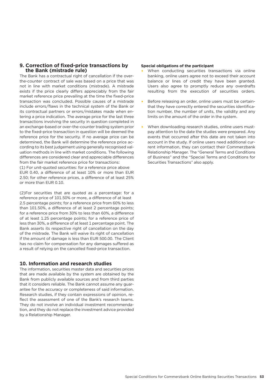# **9. Correction of fixed-price transactions by the Bank (mistrade rule)**

The Bank has a contractual right of cancellation if the overthe-counter contract of sale was based on a price that was not in line with market conditions (mistrade). A mistrade exists if the price clearly differs appreciably from the fair market reference price prevailing at the time the fixed-price transaction was concluded. Possible causes of a mistrade include errors/flaws in the technical system of the Bank or its contractual partners or errors/mistakes made when entering a price indication. The average price for the last three transactions involving the security in question completed in an exchange-based or over-the-counter trading system prior to the fixed-price transaction in question will be deemed the reference price for the security. If no average price can be determined, the Bank will determine the reference price according to its best judgement using generally recognised valuation methods in line with market conditions. The following differences are considered clear and appreciable differences from the fair market reference price for transactions:

(1) For unit-quoted securities: for a reference price above EUR 0.40, a difference of at least 10% or more than EUR 2.50; for other reference prices, a difference of at least 25% or more than EUR 0.10.

(2)For securities that are quoted as a percentage: for a reference price of 101.50% or more, a difference of at least 2.5 percentage points; for a reference price from 60% to less than 101.50%, a difference of at least 2 percentage points; for a reference price from 30% to less than 60%, a difference of at least 1.25 percentage points; for a reference price of less than 30%, a difference of at least 1 percentage point. The Bank asserts its respective right of cancellation on the day of the mistrade. The Bank will waive its right of cancellation if the amount of damage is less than EUR 500.00. The Client has no claim for compensation for any damages suffered as a result of relying on the cancelled fixed-price transaction.

# **10. Information and research studies**

The information, securities master data and securities prices that are made available by the system are obtained by the Bank from publicly available sources and from third parties that it considers reliable. The Bank cannot assume any guarantee for the accuracy or completeness of said information. Research studies, if they contain expressions of opinion, reflect the assessment of one of the Bank's research teams. They do not involve an individual investment recommendation, and they do not replace the investment advice provided by a Relationship Manager.

# **Special obligations of the participant**

- •  When conducting securities transactions via online banking, online users agree not to exceed their account balance or lines of credit they have been granted. Users also agree to promptly reduce any overdrafts resulting from the execution of securities orders.
- •  Before releasing an order, online users must be certainthat they have correctly entered the securities identification number, the number of units, the validity and any limits on the amount of the order in the system.
- •  When downloading research studies, online users mustpay attention to the date the studies were prepared. Any events that occurred after this date are not taken into account in the study. If online users need additional current information, they can contact their Commerzbank Relationship Manager. The "General Terms and Conditions of Business" and the "Special Terms and Conditions for Securities Transactions" also apply.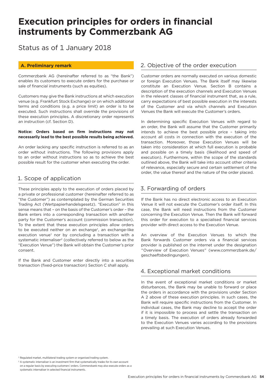# **Execution principles for orders in financial instruments by Commerzbank AG**

Status as of 1 January 2018

# **A. Preliminary remark**

Commerzbank AG (hereinafter referred to as "the Bank") enables its customers to execute orders for the purchase or sale of financial instruments (such as equities).

Customers may give the Bank instructions at which execution venue (e.g. Frankfurt Stock Exchange) or on which additional terms and conditions (e.g. a price limit) an order is to be executed. Such instructions shall override the provisions of these execution principles. A discretionary order represents an instruction (cf. Section D).

# **Notice: Orders based on firm instructions may not necessarily lead to the best possible results being achieved.**

An order lacking any specific instruction is referred to as an order without instructions. The following provisions apply to an order without instructions so as to achieve the best possible result for the customer when executing the order.

# 1. Scope of application

These principles apply to the execution of orders placed by a private or professional customer (hereinafter referred to as "the Customer") as contemplated by the German Securities Trading Act (Wertpapierhandelsgesetz). "Execution" in this sense means that – on the basis of the Customer's order – the Bank enters into a corresponding transaction with another party for the Customer's account (commission transaction). To the extent that these execution principles allow orders to be executed neither on an exchange<sup>1</sup>, an exchange-like execution venue<sup>1</sup> nor by concluding a transaction with a systematic internaliser<sup>2</sup> (collectively referred to below as the "Execution Venue") the Bank will obtain the Customer's prior consent.

If the Bank and Customer enter directly into a securities transaction (fixed-price transaction) Section C shall apply.

# 2. Objective of the order execution

Customer orders are normally executed on various domestic or foreign Execution Venues. The Bank itself may likewise constitute an Execution Venue. Section B contains a description of the execution channels and Execution Venues in the relevant classes of financial instrument that, as a rule, carry expectations of best possible execution in the interests of the Customer and via which channels and Execution Venues the Bank will execute the Customer's orders.

In determining specific Execution Venues with regard to an order, the Bank will assume that the Customer primarily intends to achieve the best possible price – taking into account all costs in connection with the execution of the transaction. Moreover, those Execution Venues will be taken into consideration at which full execution is probable and possible on a timely basis (likelihood and speed of execution). Furthermore, within the scope of the standards outlined above, the Bank will take into account other criteria of relevance, especially secure and certain settlement of the order, the value thereof and the nature of the order placed.

# 3. Forwarding of orders

If the Bank has no direct electronic access to an Execution Venue it will not execute the Customer's order itself. In this case, the Bank will need instructions from the Customer concerning the Execution Venue. Then the Bank will forward this order for execution to a specialised financial services provider with direct access to the Execution Venue.

An overview of the Execution Venues to which the Bank forwards Customer orders via a financial services provider is published on the internet under the designation "Overview of Execution Venues" (www.commerzbank.de/ geschaeftsbedingungen).

# 4. Exceptional market conditions

In the event of exceptional market conditions or market disturbances, the Bank may be unable to forward or place the orders in accordance with the provisions under Section A 2 above of these execution principles. In such cases, the Bank will require specific instructions from the Customer. In individual cases, the Bank may decline to accept the order if it is impossible to process and settle the transaction on a timely basis. The execution of orders already forwarded to the Execution Venues varies according to the provisions prevailing at such Execution Venues.

<sup>1</sup> Regulated market, multilateral trading system or organised trading system.

<sup>2</sup> A systematic internaliser is an investment firm that systematically trades for its own account on a regular basis by executing customers' orders. Commerzbank may also execute orders as a systematic internaliser in selected financial instruments.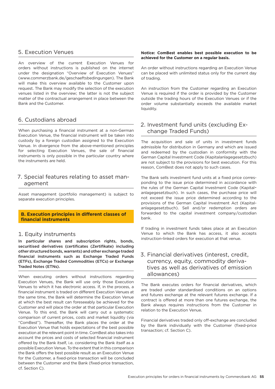# 5. Execution Venues

An overview of the current Execution Venues for orders without instructions is published on the internet under the designation "Overview of Execution Venues" (www.commerzbank.de/geschaeftsbedingungen). The Bank will make this overview available to the Customer upon request. The Bank may modify the selection of the execution venues listed in the overview; the latter is not the subject matter of the contractual arrangement in place between the Bank and the Customer.

# 6. Custodians abroad

When purchasing a financial instrument at a non-German Execution Venue, the financial instrument will be taken into custody by a foreign custodian assigned to the Execution Venue. In divergence from the above-mentioned principles for selecting Execution Venues, the sale of financial instruments is only possible in the particular country where the instruments are held.

# 7. Special features relating to asset management

Asset management (portfolio management) is subject to separate execution principles.

# **B. Execution principles in different classes of financial instruments**

# 1. Equity instruments

In particular shares and subscription rights, bonds, securitised derivatives (certificates (Zertifikate) including other structured bonds, warrants) and other exchange traded financial instruments such as Exchange Traded Funds (ETFs), Exchange Traded Commodities (ETCs) or Exchange Traded Notes (ETNs).

When executing orders without instructions regarding Execution Venues, the Bank will use only those Execution Venues to which it has electronic access. If, in the process, a financial instrument is traded on different Execution Venues at the same time, the Bank will determine the Execution Venue at which the best result can foreseeably be achieved for the Customer and will place the order at that particular Execution Venue. To this end, the Bank will carry out a systematic comparison of current prices, costs and market liquidity (via "ComBest"). Thereafter, the Bank places the order at the Execution Venue that holds expectations of the best possible execution at the relevant point in time. ComBest also takes into account the prices and costs of selected financial instrument offered by the Bank itself, i.e. considering the Bank itself as a possible Execution Venue. To the extent that in this comparison the Bank offers the best possible result as an Execution Venue for the Customer, a fixed-price transaction will be concluded between the Customer and the Bank (fixed-price transaction, cf. Section C).

# **Notice: ComBest enables best possible execution to be achieved for the Customer on a regular basis.**

An order without instructions regarding an Execution Venue can be placed with unlimited status only for the current day of trading.

An instruction from the Customer regarding an Execution Venue is required if the order is provided by the Customer outside the trading hours of the Execution Venues or if the order volume substantially exceeds the available market liquidity.

# 2. Investment fund units (excluding Exchange Traded Funds)

The acquisition and sale of units in investment funds admissible for distribution in Germany and which are issued and redeemed by the custodian in conformity with the German Capital Investment Code (Kapitalanlagegesetzbuch) are not subject to the provisions for best execution. For this reason, ComBest does not apply to such cases.

The Bank sells investment fund units at a fixed price corresponding to the issue price determined in accordance with the rules of the German Capital Investment Code (Kapitalanlagegesetzbuch). In such cases, the purchase price will not exceed the issue price determined according to the provisions of the German Capital Investment Act (Kapitalanlagegesetzbuch). Sell and/or redemption orders are forwarded to the capital investment company/custodian bank.

If trading in investment funds takes place at an Execution Venue to which the Bank has access, it also accepts instruction-linked orders for execution at that venue.

# 3. Financial derivatives (interest, credit, currency, equity, commodity derivatives as well as derivatives of emission allowances)

The Bank executes orders for financial derivatives, which are traded under standardised conditions on an options and futures exchange at the relevant futures exchange. If a contract is offered at more than one futures exchange, the Bank always requires instructions from the Customer in relation to the Execution Venue.

Financial derivatives traded only off-exchange are concluded by the Bank individually with the Customer (fixed-price transaction; cf. Section C).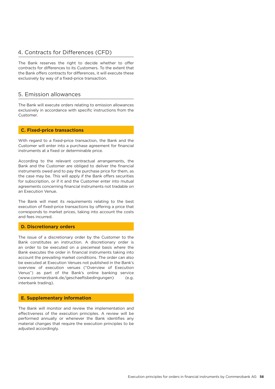# 4. Contracts for Differences (CFD)

The Bank reserves the right to decide whether to offer contracts for differences to its Customers. To the extent that the Bank offers contracts for differences, it will execute these exclusively by way of a fixed-price transaction.

# 5. Emission allowances

The Bank will execute orders relating to emission allowances exclusively in accordance with specific instructions from the Customer.

# **C. Fixed-price transactions**

With regard to a fixed-price transaction, the Bank and the Customer will enter into a purchase agreement for financial instruments at a fixed or determinable price.

According to the relevant contractual arrangements, the Bank and the Customer are obliged to deliver the financial instruments owed and to pay the purchase price for them, as the case may be. This will apply if the Bank offers securities for subscription, or if it and the Customer enter into mutual agreements concerning financial instruments not tradable on an Execution Venue.

The Bank will meet its requirements relating to the best execution of fixed-price transactions by offering a price that corresponds to market prices, taking into account the costs and fees incurred.

# **D. Discretionary orders**

The issue of a discretionary order by the Customer to the Bank constitutes an instruction. A discretionary order is an order to be executed on a piecemeal basis where the Bank executes the order in financial instruments taking into account the prevailing market conditions. The order can also be executed at Execution Venues not published in the Bank's overview of execution venues ("Overview of Execution Venus") as part of the Bank's online banking service (www.commerzbank.de/geschaeftsbedingungen) (e.g. interbank trading).

# **E. Supplementary information**

The Bank will monitor and review the implementation and effectiveness of the execution principles. A review will be performed annually or whenever the Bank identifies any material changes that require the execution principles to be adjusted accordingly.